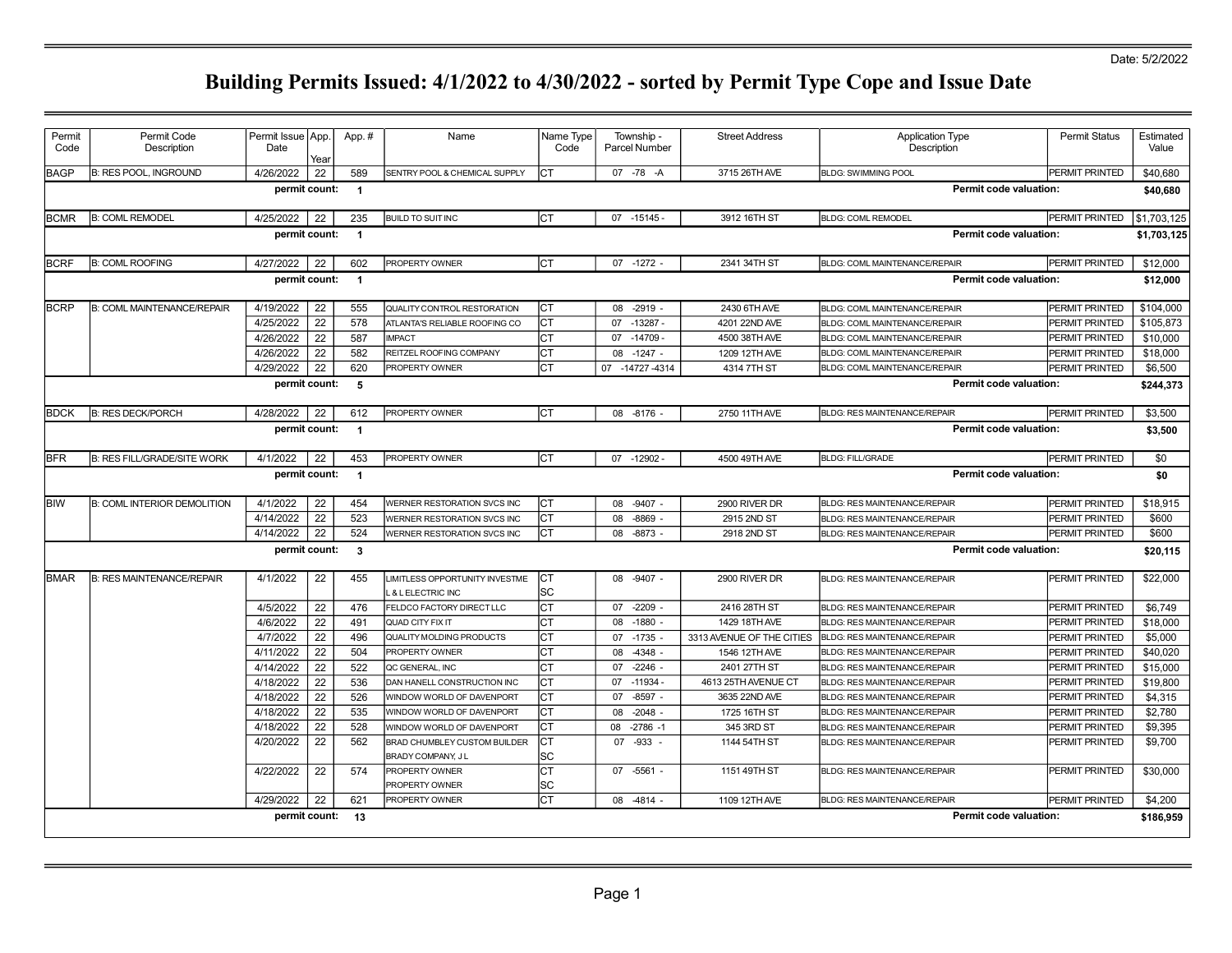| Description<br>Date<br>Description<br>Code<br>Code<br><b>Parcel Number</b><br>Year<br><b>BAGP</b><br><b>B: RES POOL, INGROUND</b><br>4/26/2022<br>22<br>589<br>Iст<br>07 -78 -A<br>3715 26TH AVE<br>PERMIT PRINTED<br>SENTRY POOL & CHEMICAL SUPPLY<br><b>BLDG: SWIMMING POOL</b><br>permit count:<br>Permit code valuation:<br>$\overline{\mathbf{1}}$<br>4/25/2022<br>22<br>Iст<br><b>BCMR</b><br><b>B: COML REMODEL</b><br>235<br><b>BUILD TO SUIT INC</b><br>$07 - 15145 -$<br>3912 16TH ST<br><b>BLDG: COML REMODEL</b><br>PERMIT PRINTED<br>Permit code valuation:<br>permit count:<br>$\overline{1}$<br>PROPERTY OWNER<br>Iст<br>07 -1272 -<br>2341 34TH ST<br>BLDG: COML MAINTENANCE/REPAIR<br>PERMIT PRINTED<br><b>BCRF</b><br><b>B: COML ROOFING</b><br>4/27/2022<br>22<br>602<br>Permit code valuation:<br>permit count:<br>$\overline{\mathbf{1}}$<br><b>BCRP</b><br>B: COML MAINTENANCE/REPAIR<br>4/19/2022<br>22<br>Iст<br>08 -2919 -<br>2430 6TH AVE<br><b>PERMIT PRINTED</b><br>555<br>QUALITY CONTROL RESTORATION<br>BLDG: COML MAINTENANCE/REPAIR<br>4/25/2022<br>22<br>578<br>Iст<br>ATLANTA'S RELIABLE ROOFING CO<br>$-13287 -$<br>4201 22ND AVE<br>PERMIT PRINTED<br>07<br>BLDG: COML MAINTENANCE/REPAIR<br>4/26/2022<br>22<br>587<br><b>IMPACT</b><br>Iст<br>$-14709 -$<br>4500 38TH AVE<br>PERMIT PRINTED<br>07<br>BLDG: COML MAINTENANCE/REPAIR<br>22<br>582<br>Iст<br>$-1247 -$<br>4/26/2022<br>REITZEL ROOFING COMPANY<br>08<br>1209 12TH AVE<br>PERMIT PRINTED<br>BLDG: COML MAINTENANCE/REPAIR<br>22<br>4/29/2022<br>620<br>Iст<br>PROPERTY OWNER<br>07 -14727 -4314<br>4314 7TH ST<br>BLDG: COML MAINTENANCE/REPAIR<br>PERMIT PRINTED<br><b>Permit code valuation:</b><br>permit count:<br>- 5<br><b>B: RES DECK/PORCH</b><br>4/28/2022<br>22<br>Iст<br>08 -8176 -<br>2750 11TH AVE<br><b>PERMIT PRINTED</b><br><b>BDCK</b><br>612<br>PROPERTY OWNER<br>BLDG: RES MAINTENANCE/REPAIR<br><b>Permit code valuation:</b><br>permit count:<br>$\overline{1}$<br>Iст<br>07 -12902<br><b>BFR</b><br><b>B: RES FILL/GRADE/SITE WORK</b><br>4/1/2022<br>22<br>453<br>PROPERTY OWNER<br>4500 49TH AVE<br><b>BLDG: FILL/GRADE</b><br>PERMIT PRINTED<br>permit count:<br><b>Permit code valuation:</b><br>$\overline{1}$<br>4/1/2022<br>22<br><b>CT</b><br><b>BIW</b><br><b>B: COML INTERIOR DEMOLITION</b><br>454<br>WERNER RESTORATION SVCS INC<br>$-9407 -$<br>2900 RIVER DR<br>BLDG: RES MAINTENANCE/REPAIR<br>PERMIT PRINTED<br>08<br>4/14/2022<br>22<br>523<br>$-8869$ -<br>2915 2ND ST<br><b>PERMIT PRINTED</b><br>WERNER RESTORATION SVCS INC<br>Iст<br>08<br>BLDG: RES MAINTENANCE/REPAIR<br>524<br>4/14/2022<br>22<br>Iст<br>$-8873 -$<br>2918 2ND ST<br>PERMIT PRINTED<br>08<br>WERNER RESTORATION SVCS INC<br>BLDG: RES MAINTENANCE/REPAIR<br>$\mathbf{3}$<br>Permit code valuation:<br>permit count:<br><b>B: RES MAINTENANCE/REPAIR</b><br>4/1/2022<br>22<br>$-9407 -$<br>2900 RIVER DR<br>PERMIT PRINTED<br><b>BMAR</b><br>455<br>LIMITLESS OPPORTUNITY INVESTME<br>Iст<br>08<br>BLDG: RES MAINTENANCE/REPAIR<br>lsc<br>L & L ELECTRIC INC<br>4/5/2022<br>22<br>lст<br>476<br>$-2209$ -<br>2416 28TH ST<br><b>PERMIT PRINTED</b><br>07<br>FELDCO FACTORY DIRECT LLC<br>BLDG: RES MAINTENANCE/REPAIR<br>4/6/2022<br>22<br>Iст<br>491<br>$-1880 -$<br>QUAD CITY FIX IT<br>08<br>1429 18TH AVE<br>BLDG: RES MAINTENANCE/REPAIR<br>PERMIT PRINTED<br>22<br>4/7/2022<br>496<br>QUALITY MOLDING PRODUCTS<br>Iст<br>$-1735 -$<br>3313 AVENUE OF THE CITIES<br><b>PERMIT PRINTED</b><br>07<br>BLDG: RES MAINTENANCE/REPAIR<br>4/11/2022<br>22<br>504<br>Iст<br>$-4348 -$<br>1546 12TH AVE<br>PERMIT PRINTED<br>08<br><b>PROPERTY OWNER</b><br>BLDG: RES MAINTENANCE/REPAIR<br>22<br>522<br>4/14/2022<br>Iст<br>$-2246$ -<br>07<br>2401 27TH ST<br>PERMIT PRINTED<br>QC GENERAL. INC<br><b>BLDG: RES MAINTENANCE/REPAIR</b><br>22<br>536<br>4/18/2022<br>Iст<br>$-11934.$<br>4613 25TH AVENUE CT<br>DAN HANELL CONSTRUCTION INC<br>07<br>PERMIT PRINTED<br>BLDG: RES MAINTENANCE/REPAIR<br>22<br>526<br>$-8597 -$<br>4/18/2022<br>Iст<br>07<br>3635 22ND AVE<br>PERMIT PRINTED<br>WINDOW WORLD OF DAVENPORT<br>BLDG: RES MAINTENANCE/REPAIR<br>22<br>4/18/2022<br>535<br>Iст<br>$-2048 -$<br>WINDOW WORLD OF DAVENPORT<br>08<br>1725 16TH ST<br>PERMIT PRINTED<br><b>BLDG: RES MAINTENANCE/REPAIR</b><br>22<br>528<br>Iст<br>4/18/2022<br>08<br>$-2786 - 1$<br>345 3RD ST<br>WINDOW WORLD OF DAVENPORT<br>PERMIT PRINTED<br>BLDG: RES MAINTENANCE/REPAIR<br>22<br>562<br>Iст<br>4/20/2022<br>$-933 -$<br>BRAD CHUMBLEY CUSTOM BUILDER<br>07<br>1144 54TH ST<br>BLDG: RES MAINTENANCE/REPAIR<br>PERMIT PRINTED<br>lsc<br>BRADY COMPANY, JL<br>4/22/2022<br>22<br>574<br>Iст<br>$07 - 5561 -$<br>1151 49TH ST<br>BLDG: RES MAINTENANCE/REPAIR<br>PERMIT PRINTED<br>PROPERTY OWNER<br><b>SC</b><br>PROPERTY OWNER<br>22<br>Iст<br>4/29/2022<br>621<br>08 -4814 -<br>1109 12TH AVE<br>PERMIT PRINTED<br><b>PROPERTY OWNER</b><br>BLDG: RES MAINTENANCE/REPAIR | Permit | Permit Code | Permit Issue   App. | App.# | Name | Name Type | Township - | <b>Street Address</b> | <b>Application Type</b> | <b>Permit Status</b> | Estimated   |
|-----------------------------------------------------------------------------------------------------------------------------------------------------------------------------------------------------------------------------------------------------------------------------------------------------------------------------------------------------------------------------------------------------------------------------------------------------------------------------------------------------------------------------------------------------------------------------------------------------------------------------------------------------------------------------------------------------------------------------------------------------------------------------------------------------------------------------------------------------------------------------------------------------------------------------------------------------------------------------------------------------------------------------------------------------------------------------------------------------------------------------------------------------------------------------------------------------------------------------------------------------------------------------------------------------------------------------------------------------------------------------------------------------------------------------------------------------------------------------------------------------------------------------------------------------------------------------------------------------------------------------------------------------------------------------------------------------------------------------------------------------------------------------------------------------------------------------------------------------------------------------------------------------------------------------------------------------------------------------------------------------------------------------------------------------------------------------------------------------------------------------------------------------------------------------------------------------------------------------------------------------------------------------------------------------------------------------------------------------------------------------------------------------------------------------------------------------------------------------------------------------------------------------------------------------------------------------------------------------------------------------------------------------------------------------------------------------------------------------------------------------------------------------------------------------------------------------------------------------------------------------------------------------------------------------------------------------------------------------------------------------------------------------------------------------------------------------------------------------------------------------------------------------------------------------------------------------------------------------------------------------------------------------------------------------------------------------------------------------------------------------------------------------------------------------------------------------------------------------------------------------------------------------------------------------------------------------------------------------------------------------------------------------------------------------------------------------------------------------------------------------------------------------------------------------------------------------------------------------------------------------------------------------------------------------------------------------------------------------------------------------------------------------------------------------------------------------------------------------------------------------------------------------------------------------------------------------------------------------------------------------------------------------------------------------------------------------------------------------------------------------------------------------------------------------------------------------------------------------------------------------------------------------------------------------------------------------------------------------------------------------------------------------------------------------------------------------------------------------------------------------------------------------------------------------------------------------------------------------------------------------------------------------------------------------------------------------------------------------------|--------|-------------|---------------------|-------|------|-----------|------------|-----------------------|-------------------------|----------------------|-------------|
|                                                                                                                                                                                                                                                                                                                                                                                                                                                                                                                                                                                                                                                                                                                                                                                                                                                                                                                                                                                                                                                                                                                                                                                                                                                                                                                                                                                                                                                                                                                                                                                                                                                                                                                                                                                                                                                                                                                                                                                                                                                                                                                                                                                                                                                                                                                                                                                                                                                                                                                                                                                                                                                                                                                                                                                                                                                                                                                                                                                                                                                                                                                                                                                                                                                                                                                                                                                                                                                                                                                                                                                                                                                                                                                                                                                                                                                                                                                                                                                                                                                                                                                                                                                                                                                                                                                                                                                                                                                                                                                                                                                                                                                                                                                                                                                                                                                                                                                                                                                   |        |             |                     |       |      |           |            |                       |                         |                      | Value       |
|                                                                                                                                                                                                                                                                                                                                                                                                                                                                                                                                                                                                                                                                                                                                                                                                                                                                                                                                                                                                                                                                                                                                                                                                                                                                                                                                                                                                                                                                                                                                                                                                                                                                                                                                                                                                                                                                                                                                                                                                                                                                                                                                                                                                                                                                                                                                                                                                                                                                                                                                                                                                                                                                                                                                                                                                                                                                                                                                                                                                                                                                                                                                                                                                                                                                                                                                                                                                                                                                                                                                                                                                                                                                                                                                                                                                                                                                                                                                                                                                                                                                                                                                                                                                                                                                                                                                                                                                                                                                                                                                                                                                                                                                                                                                                                                                                                                                                                                                                                                   |        |             |                     |       |      |           |            |                       |                         |                      | \$40,680    |
|                                                                                                                                                                                                                                                                                                                                                                                                                                                                                                                                                                                                                                                                                                                                                                                                                                                                                                                                                                                                                                                                                                                                                                                                                                                                                                                                                                                                                                                                                                                                                                                                                                                                                                                                                                                                                                                                                                                                                                                                                                                                                                                                                                                                                                                                                                                                                                                                                                                                                                                                                                                                                                                                                                                                                                                                                                                                                                                                                                                                                                                                                                                                                                                                                                                                                                                                                                                                                                                                                                                                                                                                                                                                                                                                                                                                                                                                                                                                                                                                                                                                                                                                                                                                                                                                                                                                                                                                                                                                                                                                                                                                                                                                                                                                                                                                                                                                                                                                                                                   |        |             |                     |       |      |           |            |                       |                         |                      | \$40,680    |
|                                                                                                                                                                                                                                                                                                                                                                                                                                                                                                                                                                                                                                                                                                                                                                                                                                                                                                                                                                                                                                                                                                                                                                                                                                                                                                                                                                                                                                                                                                                                                                                                                                                                                                                                                                                                                                                                                                                                                                                                                                                                                                                                                                                                                                                                                                                                                                                                                                                                                                                                                                                                                                                                                                                                                                                                                                                                                                                                                                                                                                                                                                                                                                                                                                                                                                                                                                                                                                                                                                                                                                                                                                                                                                                                                                                                                                                                                                                                                                                                                                                                                                                                                                                                                                                                                                                                                                                                                                                                                                                                                                                                                                                                                                                                                                                                                                                                                                                                                                                   |        |             |                     |       |      |           |            |                       |                         |                      | \$1,703,125 |
|                                                                                                                                                                                                                                                                                                                                                                                                                                                                                                                                                                                                                                                                                                                                                                                                                                                                                                                                                                                                                                                                                                                                                                                                                                                                                                                                                                                                                                                                                                                                                                                                                                                                                                                                                                                                                                                                                                                                                                                                                                                                                                                                                                                                                                                                                                                                                                                                                                                                                                                                                                                                                                                                                                                                                                                                                                                                                                                                                                                                                                                                                                                                                                                                                                                                                                                                                                                                                                                                                                                                                                                                                                                                                                                                                                                                                                                                                                                                                                                                                                                                                                                                                                                                                                                                                                                                                                                                                                                                                                                                                                                                                                                                                                                                                                                                                                                                                                                                                                                   |        |             |                     |       |      |           |            |                       |                         |                      | \$1,703,125 |
|                                                                                                                                                                                                                                                                                                                                                                                                                                                                                                                                                                                                                                                                                                                                                                                                                                                                                                                                                                                                                                                                                                                                                                                                                                                                                                                                                                                                                                                                                                                                                                                                                                                                                                                                                                                                                                                                                                                                                                                                                                                                                                                                                                                                                                                                                                                                                                                                                                                                                                                                                                                                                                                                                                                                                                                                                                                                                                                                                                                                                                                                                                                                                                                                                                                                                                                                                                                                                                                                                                                                                                                                                                                                                                                                                                                                                                                                                                                                                                                                                                                                                                                                                                                                                                                                                                                                                                                                                                                                                                                                                                                                                                                                                                                                                                                                                                                                                                                                                                                   |        |             |                     |       |      |           |            |                       |                         |                      | \$12,000    |
|                                                                                                                                                                                                                                                                                                                                                                                                                                                                                                                                                                                                                                                                                                                                                                                                                                                                                                                                                                                                                                                                                                                                                                                                                                                                                                                                                                                                                                                                                                                                                                                                                                                                                                                                                                                                                                                                                                                                                                                                                                                                                                                                                                                                                                                                                                                                                                                                                                                                                                                                                                                                                                                                                                                                                                                                                                                                                                                                                                                                                                                                                                                                                                                                                                                                                                                                                                                                                                                                                                                                                                                                                                                                                                                                                                                                                                                                                                                                                                                                                                                                                                                                                                                                                                                                                                                                                                                                                                                                                                                                                                                                                                                                                                                                                                                                                                                                                                                                                                                   |        |             |                     |       |      |           |            |                       |                         |                      | \$12,000    |
|                                                                                                                                                                                                                                                                                                                                                                                                                                                                                                                                                                                                                                                                                                                                                                                                                                                                                                                                                                                                                                                                                                                                                                                                                                                                                                                                                                                                                                                                                                                                                                                                                                                                                                                                                                                                                                                                                                                                                                                                                                                                                                                                                                                                                                                                                                                                                                                                                                                                                                                                                                                                                                                                                                                                                                                                                                                                                                                                                                                                                                                                                                                                                                                                                                                                                                                                                                                                                                                                                                                                                                                                                                                                                                                                                                                                                                                                                                                                                                                                                                                                                                                                                                                                                                                                                                                                                                                                                                                                                                                                                                                                                                                                                                                                                                                                                                                                                                                                                                                   |        |             |                     |       |      |           |            |                       |                         |                      | \$104,000   |
|                                                                                                                                                                                                                                                                                                                                                                                                                                                                                                                                                                                                                                                                                                                                                                                                                                                                                                                                                                                                                                                                                                                                                                                                                                                                                                                                                                                                                                                                                                                                                                                                                                                                                                                                                                                                                                                                                                                                                                                                                                                                                                                                                                                                                                                                                                                                                                                                                                                                                                                                                                                                                                                                                                                                                                                                                                                                                                                                                                                                                                                                                                                                                                                                                                                                                                                                                                                                                                                                                                                                                                                                                                                                                                                                                                                                                                                                                                                                                                                                                                                                                                                                                                                                                                                                                                                                                                                                                                                                                                                                                                                                                                                                                                                                                                                                                                                                                                                                                                                   |        |             |                     |       |      |           |            |                       |                         |                      | \$105,873   |
|                                                                                                                                                                                                                                                                                                                                                                                                                                                                                                                                                                                                                                                                                                                                                                                                                                                                                                                                                                                                                                                                                                                                                                                                                                                                                                                                                                                                                                                                                                                                                                                                                                                                                                                                                                                                                                                                                                                                                                                                                                                                                                                                                                                                                                                                                                                                                                                                                                                                                                                                                                                                                                                                                                                                                                                                                                                                                                                                                                                                                                                                                                                                                                                                                                                                                                                                                                                                                                                                                                                                                                                                                                                                                                                                                                                                                                                                                                                                                                                                                                                                                                                                                                                                                                                                                                                                                                                                                                                                                                                                                                                                                                                                                                                                                                                                                                                                                                                                                                                   |        |             |                     |       |      |           |            |                       |                         |                      | \$10,000    |
|                                                                                                                                                                                                                                                                                                                                                                                                                                                                                                                                                                                                                                                                                                                                                                                                                                                                                                                                                                                                                                                                                                                                                                                                                                                                                                                                                                                                                                                                                                                                                                                                                                                                                                                                                                                                                                                                                                                                                                                                                                                                                                                                                                                                                                                                                                                                                                                                                                                                                                                                                                                                                                                                                                                                                                                                                                                                                                                                                                                                                                                                                                                                                                                                                                                                                                                                                                                                                                                                                                                                                                                                                                                                                                                                                                                                                                                                                                                                                                                                                                                                                                                                                                                                                                                                                                                                                                                                                                                                                                                                                                                                                                                                                                                                                                                                                                                                                                                                                                                   |        |             |                     |       |      |           |            |                       |                         |                      | \$18,000    |
|                                                                                                                                                                                                                                                                                                                                                                                                                                                                                                                                                                                                                                                                                                                                                                                                                                                                                                                                                                                                                                                                                                                                                                                                                                                                                                                                                                                                                                                                                                                                                                                                                                                                                                                                                                                                                                                                                                                                                                                                                                                                                                                                                                                                                                                                                                                                                                                                                                                                                                                                                                                                                                                                                                                                                                                                                                                                                                                                                                                                                                                                                                                                                                                                                                                                                                                                                                                                                                                                                                                                                                                                                                                                                                                                                                                                                                                                                                                                                                                                                                                                                                                                                                                                                                                                                                                                                                                                                                                                                                                                                                                                                                                                                                                                                                                                                                                                                                                                                                                   |        |             |                     |       |      |           |            |                       |                         |                      | \$6,500     |
|                                                                                                                                                                                                                                                                                                                                                                                                                                                                                                                                                                                                                                                                                                                                                                                                                                                                                                                                                                                                                                                                                                                                                                                                                                                                                                                                                                                                                                                                                                                                                                                                                                                                                                                                                                                                                                                                                                                                                                                                                                                                                                                                                                                                                                                                                                                                                                                                                                                                                                                                                                                                                                                                                                                                                                                                                                                                                                                                                                                                                                                                                                                                                                                                                                                                                                                                                                                                                                                                                                                                                                                                                                                                                                                                                                                                                                                                                                                                                                                                                                                                                                                                                                                                                                                                                                                                                                                                                                                                                                                                                                                                                                                                                                                                                                                                                                                                                                                                                                                   |        |             |                     |       |      |           |            |                       |                         |                      | \$244,373   |
|                                                                                                                                                                                                                                                                                                                                                                                                                                                                                                                                                                                                                                                                                                                                                                                                                                                                                                                                                                                                                                                                                                                                                                                                                                                                                                                                                                                                                                                                                                                                                                                                                                                                                                                                                                                                                                                                                                                                                                                                                                                                                                                                                                                                                                                                                                                                                                                                                                                                                                                                                                                                                                                                                                                                                                                                                                                                                                                                                                                                                                                                                                                                                                                                                                                                                                                                                                                                                                                                                                                                                                                                                                                                                                                                                                                                                                                                                                                                                                                                                                                                                                                                                                                                                                                                                                                                                                                                                                                                                                                                                                                                                                                                                                                                                                                                                                                                                                                                                                                   |        |             |                     |       |      |           |            |                       |                         |                      | \$3,500     |
|                                                                                                                                                                                                                                                                                                                                                                                                                                                                                                                                                                                                                                                                                                                                                                                                                                                                                                                                                                                                                                                                                                                                                                                                                                                                                                                                                                                                                                                                                                                                                                                                                                                                                                                                                                                                                                                                                                                                                                                                                                                                                                                                                                                                                                                                                                                                                                                                                                                                                                                                                                                                                                                                                                                                                                                                                                                                                                                                                                                                                                                                                                                                                                                                                                                                                                                                                                                                                                                                                                                                                                                                                                                                                                                                                                                                                                                                                                                                                                                                                                                                                                                                                                                                                                                                                                                                                                                                                                                                                                                                                                                                                                                                                                                                                                                                                                                                                                                                                                                   |        |             |                     |       |      |           |            |                       |                         |                      | \$3,500     |
|                                                                                                                                                                                                                                                                                                                                                                                                                                                                                                                                                                                                                                                                                                                                                                                                                                                                                                                                                                                                                                                                                                                                                                                                                                                                                                                                                                                                                                                                                                                                                                                                                                                                                                                                                                                                                                                                                                                                                                                                                                                                                                                                                                                                                                                                                                                                                                                                                                                                                                                                                                                                                                                                                                                                                                                                                                                                                                                                                                                                                                                                                                                                                                                                                                                                                                                                                                                                                                                                                                                                                                                                                                                                                                                                                                                                                                                                                                                                                                                                                                                                                                                                                                                                                                                                                                                                                                                                                                                                                                                                                                                                                                                                                                                                                                                                                                                                                                                                                                                   |        |             |                     |       |      |           |            |                       |                         |                      | \$0         |
|                                                                                                                                                                                                                                                                                                                                                                                                                                                                                                                                                                                                                                                                                                                                                                                                                                                                                                                                                                                                                                                                                                                                                                                                                                                                                                                                                                                                                                                                                                                                                                                                                                                                                                                                                                                                                                                                                                                                                                                                                                                                                                                                                                                                                                                                                                                                                                                                                                                                                                                                                                                                                                                                                                                                                                                                                                                                                                                                                                                                                                                                                                                                                                                                                                                                                                                                                                                                                                                                                                                                                                                                                                                                                                                                                                                                                                                                                                                                                                                                                                                                                                                                                                                                                                                                                                                                                                                                                                                                                                                                                                                                                                                                                                                                                                                                                                                                                                                                                                                   |        |             |                     |       |      |           |            |                       |                         |                      | \$0         |
|                                                                                                                                                                                                                                                                                                                                                                                                                                                                                                                                                                                                                                                                                                                                                                                                                                                                                                                                                                                                                                                                                                                                                                                                                                                                                                                                                                                                                                                                                                                                                                                                                                                                                                                                                                                                                                                                                                                                                                                                                                                                                                                                                                                                                                                                                                                                                                                                                                                                                                                                                                                                                                                                                                                                                                                                                                                                                                                                                                                                                                                                                                                                                                                                                                                                                                                                                                                                                                                                                                                                                                                                                                                                                                                                                                                                                                                                                                                                                                                                                                                                                                                                                                                                                                                                                                                                                                                                                                                                                                                                                                                                                                                                                                                                                                                                                                                                                                                                                                                   |        |             |                     |       |      |           |            |                       |                         |                      | \$18,915    |
|                                                                                                                                                                                                                                                                                                                                                                                                                                                                                                                                                                                                                                                                                                                                                                                                                                                                                                                                                                                                                                                                                                                                                                                                                                                                                                                                                                                                                                                                                                                                                                                                                                                                                                                                                                                                                                                                                                                                                                                                                                                                                                                                                                                                                                                                                                                                                                                                                                                                                                                                                                                                                                                                                                                                                                                                                                                                                                                                                                                                                                                                                                                                                                                                                                                                                                                                                                                                                                                                                                                                                                                                                                                                                                                                                                                                                                                                                                                                                                                                                                                                                                                                                                                                                                                                                                                                                                                                                                                                                                                                                                                                                                                                                                                                                                                                                                                                                                                                                                                   |        |             |                     |       |      |           |            |                       |                         |                      | \$600       |
|                                                                                                                                                                                                                                                                                                                                                                                                                                                                                                                                                                                                                                                                                                                                                                                                                                                                                                                                                                                                                                                                                                                                                                                                                                                                                                                                                                                                                                                                                                                                                                                                                                                                                                                                                                                                                                                                                                                                                                                                                                                                                                                                                                                                                                                                                                                                                                                                                                                                                                                                                                                                                                                                                                                                                                                                                                                                                                                                                                                                                                                                                                                                                                                                                                                                                                                                                                                                                                                                                                                                                                                                                                                                                                                                                                                                                                                                                                                                                                                                                                                                                                                                                                                                                                                                                                                                                                                                                                                                                                                                                                                                                                                                                                                                                                                                                                                                                                                                                                                   |        |             |                     |       |      |           |            |                       |                         |                      | \$600       |
|                                                                                                                                                                                                                                                                                                                                                                                                                                                                                                                                                                                                                                                                                                                                                                                                                                                                                                                                                                                                                                                                                                                                                                                                                                                                                                                                                                                                                                                                                                                                                                                                                                                                                                                                                                                                                                                                                                                                                                                                                                                                                                                                                                                                                                                                                                                                                                                                                                                                                                                                                                                                                                                                                                                                                                                                                                                                                                                                                                                                                                                                                                                                                                                                                                                                                                                                                                                                                                                                                                                                                                                                                                                                                                                                                                                                                                                                                                                                                                                                                                                                                                                                                                                                                                                                                                                                                                                                                                                                                                                                                                                                                                                                                                                                                                                                                                                                                                                                                                                   |        |             |                     |       |      |           |            |                       |                         |                      | \$20,115    |
|                                                                                                                                                                                                                                                                                                                                                                                                                                                                                                                                                                                                                                                                                                                                                                                                                                                                                                                                                                                                                                                                                                                                                                                                                                                                                                                                                                                                                                                                                                                                                                                                                                                                                                                                                                                                                                                                                                                                                                                                                                                                                                                                                                                                                                                                                                                                                                                                                                                                                                                                                                                                                                                                                                                                                                                                                                                                                                                                                                                                                                                                                                                                                                                                                                                                                                                                                                                                                                                                                                                                                                                                                                                                                                                                                                                                                                                                                                                                                                                                                                                                                                                                                                                                                                                                                                                                                                                                                                                                                                                                                                                                                                                                                                                                                                                                                                                                                                                                                                                   |        |             |                     |       |      |           |            |                       |                         |                      | \$22,000    |
|                                                                                                                                                                                                                                                                                                                                                                                                                                                                                                                                                                                                                                                                                                                                                                                                                                                                                                                                                                                                                                                                                                                                                                                                                                                                                                                                                                                                                                                                                                                                                                                                                                                                                                                                                                                                                                                                                                                                                                                                                                                                                                                                                                                                                                                                                                                                                                                                                                                                                                                                                                                                                                                                                                                                                                                                                                                                                                                                                                                                                                                                                                                                                                                                                                                                                                                                                                                                                                                                                                                                                                                                                                                                                                                                                                                                                                                                                                                                                                                                                                                                                                                                                                                                                                                                                                                                                                                                                                                                                                                                                                                                                                                                                                                                                                                                                                                                                                                                                                                   |        |             |                     |       |      |           |            |                       |                         |                      | \$6,749     |
|                                                                                                                                                                                                                                                                                                                                                                                                                                                                                                                                                                                                                                                                                                                                                                                                                                                                                                                                                                                                                                                                                                                                                                                                                                                                                                                                                                                                                                                                                                                                                                                                                                                                                                                                                                                                                                                                                                                                                                                                                                                                                                                                                                                                                                                                                                                                                                                                                                                                                                                                                                                                                                                                                                                                                                                                                                                                                                                                                                                                                                                                                                                                                                                                                                                                                                                                                                                                                                                                                                                                                                                                                                                                                                                                                                                                                                                                                                                                                                                                                                                                                                                                                                                                                                                                                                                                                                                                                                                                                                                                                                                                                                                                                                                                                                                                                                                                                                                                                                                   |        |             |                     |       |      |           |            |                       |                         |                      | \$18,000    |
|                                                                                                                                                                                                                                                                                                                                                                                                                                                                                                                                                                                                                                                                                                                                                                                                                                                                                                                                                                                                                                                                                                                                                                                                                                                                                                                                                                                                                                                                                                                                                                                                                                                                                                                                                                                                                                                                                                                                                                                                                                                                                                                                                                                                                                                                                                                                                                                                                                                                                                                                                                                                                                                                                                                                                                                                                                                                                                                                                                                                                                                                                                                                                                                                                                                                                                                                                                                                                                                                                                                                                                                                                                                                                                                                                                                                                                                                                                                                                                                                                                                                                                                                                                                                                                                                                                                                                                                                                                                                                                                                                                                                                                                                                                                                                                                                                                                                                                                                                                                   |        |             |                     |       |      |           |            |                       |                         |                      | \$5,000     |
|                                                                                                                                                                                                                                                                                                                                                                                                                                                                                                                                                                                                                                                                                                                                                                                                                                                                                                                                                                                                                                                                                                                                                                                                                                                                                                                                                                                                                                                                                                                                                                                                                                                                                                                                                                                                                                                                                                                                                                                                                                                                                                                                                                                                                                                                                                                                                                                                                                                                                                                                                                                                                                                                                                                                                                                                                                                                                                                                                                                                                                                                                                                                                                                                                                                                                                                                                                                                                                                                                                                                                                                                                                                                                                                                                                                                                                                                                                                                                                                                                                                                                                                                                                                                                                                                                                                                                                                                                                                                                                                                                                                                                                                                                                                                                                                                                                                                                                                                                                                   |        |             |                     |       |      |           |            |                       |                         |                      | \$40,020    |
|                                                                                                                                                                                                                                                                                                                                                                                                                                                                                                                                                                                                                                                                                                                                                                                                                                                                                                                                                                                                                                                                                                                                                                                                                                                                                                                                                                                                                                                                                                                                                                                                                                                                                                                                                                                                                                                                                                                                                                                                                                                                                                                                                                                                                                                                                                                                                                                                                                                                                                                                                                                                                                                                                                                                                                                                                                                                                                                                                                                                                                                                                                                                                                                                                                                                                                                                                                                                                                                                                                                                                                                                                                                                                                                                                                                                                                                                                                                                                                                                                                                                                                                                                                                                                                                                                                                                                                                                                                                                                                                                                                                                                                                                                                                                                                                                                                                                                                                                                                                   |        |             |                     |       |      |           |            |                       |                         |                      | \$15,000    |
|                                                                                                                                                                                                                                                                                                                                                                                                                                                                                                                                                                                                                                                                                                                                                                                                                                                                                                                                                                                                                                                                                                                                                                                                                                                                                                                                                                                                                                                                                                                                                                                                                                                                                                                                                                                                                                                                                                                                                                                                                                                                                                                                                                                                                                                                                                                                                                                                                                                                                                                                                                                                                                                                                                                                                                                                                                                                                                                                                                                                                                                                                                                                                                                                                                                                                                                                                                                                                                                                                                                                                                                                                                                                                                                                                                                                                                                                                                                                                                                                                                                                                                                                                                                                                                                                                                                                                                                                                                                                                                                                                                                                                                                                                                                                                                                                                                                                                                                                                                                   |        |             |                     |       |      |           |            |                       |                         |                      | \$19,800    |
|                                                                                                                                                                                                                                                                                                                                                                                                                                                                                                                                                                                                                                                                                                                                                                                                                                                                                                                                                                                                                                                                                                                                                                                                                                                                                                                                                                                                                                                                                                                                                                                                                                                                                                                                                                                                                                                                                                                                                                                                                                                                                                                                                                                                                                                                                                                                                                                                                                                                                                                                                                                                                                                                                                                                                                                                                                                                                                                                                                                                                                                                                                                                                                                                                                                                                                                                                                                                                                                                                                                                                                                                                                                                                                                                                                                                                                                                                                                                                                                                                                                                                                                                                                                                                                                                                                                                                                                                                                                                                                                                                                                                                                                                                                                                                                                                                                                                                                                                                                                   |        |             |                     |       |      |           |            |                       |                         |                      | \$4,315     |
|                                                                                                                                                                                                                                                                                                                                                                                                                                                                                                                                                                                                                                                                                                                                                                                                                                                                                                                                                                                                                                                                                                                                                                                                                                                                                                                                                                                                                                                                                                                                                                                                                                                                                                                                                                                                                                                                                                                                                                                                                                                                                                                                                                                                                                                                                                                                                                                                                                                                                                                                                                                                                                                                                                                                                                                                                                                                                                                                                                                                                                                                                                                                                                                                                                                                                                                                                                                                                                                                                                                                                                                                                                                                                                                                                                                                                                                                                                                                                                                                                                                                                                                                                                                                                                                                                                                                                                                                                                                                                                                                                                                                                                                                                                                                                                                                                                                                                                                                                                                   |        |             |                     |       |      |           |            |                       |                         |                      | \$2,780     |
|                                                                                                                                                                                                                                                                                                                                                                                                                                                                                                                                                                                                                                                                                                                                                                                                                                                                                                                                                                                                                                                                                                                                                                                                                                                                                                                                                                                                                                                                                                                                                                                                                                                                                                                                                                                                                                                                                                                                                                                                                                                                                                                                                                                                                                                                                                                                                                                                                                                                                                                                                                                                                                                                                                                                                                                                                                                                                                                                                                                                                                                                                                                                                                                                                                                                                                                                                                                                                                                                                                                                                                                                                                                                                                                                                                                                                                                                                                                                                                                                                                                                                                                                                                                                                                                                                                                                                                                                                                                                                                                                                                                                                                                                                                                                                                                                                                                                                                                                                                                   |        |             |                     |       |      |           |            |                       |                         |                      | \$9,395     |
|                                                                                                                                                                                                                                                                                                                                                                                                                                                                                                                                                                                                                                                                                                                                                                                                                                                                                                                                                                                                                                                                                                                                                                                                                                                                                                                                                                                                                                                                                                                                                                                                                                                                                                                                                                                                                                                                                                                                                                                                                                                                                                                                                                                                                                                                                                                                                                                                                                                                                                                                                                                                                                                                                                                                                                                                                                                                                                                                                                                                                                                                                                                                                                                                                                                                                                                                                                                                                                                                                                                                                                                                                                                                                                                                                                                                                                                                                                                                                                                                                                                                                                                                                                                                                                                                                                                                                                                                                                                                                                                                                                                                                                                                                                                                                                                                                                                                                                                                                                                   |        |             |                     |       |      |           |            |                       |                         |                      | \$9,700     |
|                                                                                                                                                                                                                                                                                                                                                                                                                                                                                                                                                                                                                                                                                                                                                                                                                                                                                                                                                                                                                                                                                                                                                                                                                                                                                                                                                                                                                                                                                                                                                                                                                                                                                                                                                                                                                                                                                                                                                                                                                                                                                                                                                                                                                                                                                                                                                                                                                                                                                                                                                                                                                                                                                                                                                                                                                                                                                                                                                                                                                                                                                                                                                                                                                                                                                                                                                                                                                                                                                                                                                                                                                                                                                                                                                                                                                                                                                                                                                                                                                                                                                                                                                                                                                                                                                                                                                                                                                                                                                                                                                                                                                                                                                                                                                                                                                                                                                                                                                                                   |        |             |                     |       |      |           |            |                       |                         |                      |             |
|                                                                                                                                                                                                                                                                                                                                                                                                                                                                                                                                                                                                                                                                                                                                                                                                                                                                                                                                                                                                                                                                                                                                                                                                                                                                                                                                                                                                                                                                                                                                                                                                                                                                                                                                                                                                                                                                                                                                                                                                                                                                                                                                                                                                                                                                                                                                                                                                                                                                                                                                                                                                                                                                                                                                                                                                                                                                                                                                                                                                                                                                                                                                                                                                                                                                                                                                                                                                                                                                                                                                                                                                                                                                                                                                                                                                                                                                                                                                                                                                                                                                                                                                                                                                                                                                                                                                                                                                                                                                                                                                                                                                                                                                                                                                                                                                                                                                                                                                                                                   |        |             |                     |       |      |           |            |                       |                         |                      | \$30,000    |
|                                                                                                                                                                                                                                                                                                                                                                                                                                                                                                                                                                                                                                                                                                                                                                                                                                                                                                                                                                                                                                                                                                                                                                                                                                                                                                                                                                                                                                                                                                                                                                                                                                                                                                                                                                                                                                                                                                                                                                                                                                                                                                                                                                                                                                                                                                                                                                                                                                                                                                                                                                                                                                                                                                                                                                                                                                                                                                                                                                                                                                                                                                                                                                                                                                                                                                                                                                                                                                                                                                                                                                                                                                                                                                                                                                                                                                                                                                                                                                                                                                                                                                                                                                                                                                                                                                                                                                                                                                                                                                                                                                                                                                                                                                                                                                                                                                                                                                                                                                                   |        |             |                     |       |      |           |            |                       |                         |                      | \$4,200     |
| permit count:                                                                                                                                                                                                                                                                                                                                                                                                                                                                                                                                                                                                                                                                                                                                                                                                                                                                                                                                                                                                                                                                                                                                                                                                                                                                                                                                                                                                                                                                                                                                                                                                                                                                                                                                                                                                                                                                                                                                                                                                                                                                                                                                                                                                                                                                                                                                                                                                                                                                                                                                                                                                                                                                                                                                                                                                                                                                                                                                                                                                                                                                                                                                                                                                                                                                                                                                                                                                                                                                                                                                                                                                                                                                                                                                                                                                                                                                                                                                                                                                                                                                                                                                                                                                                                                                                                                                                                                                                                                                                                                                                                                                                                                                                                                                                                                                                                                                                                                                                                     |        |             |                     | 13    |      |           |            |                       | Permit code valuation:  |                      | \$186,959   |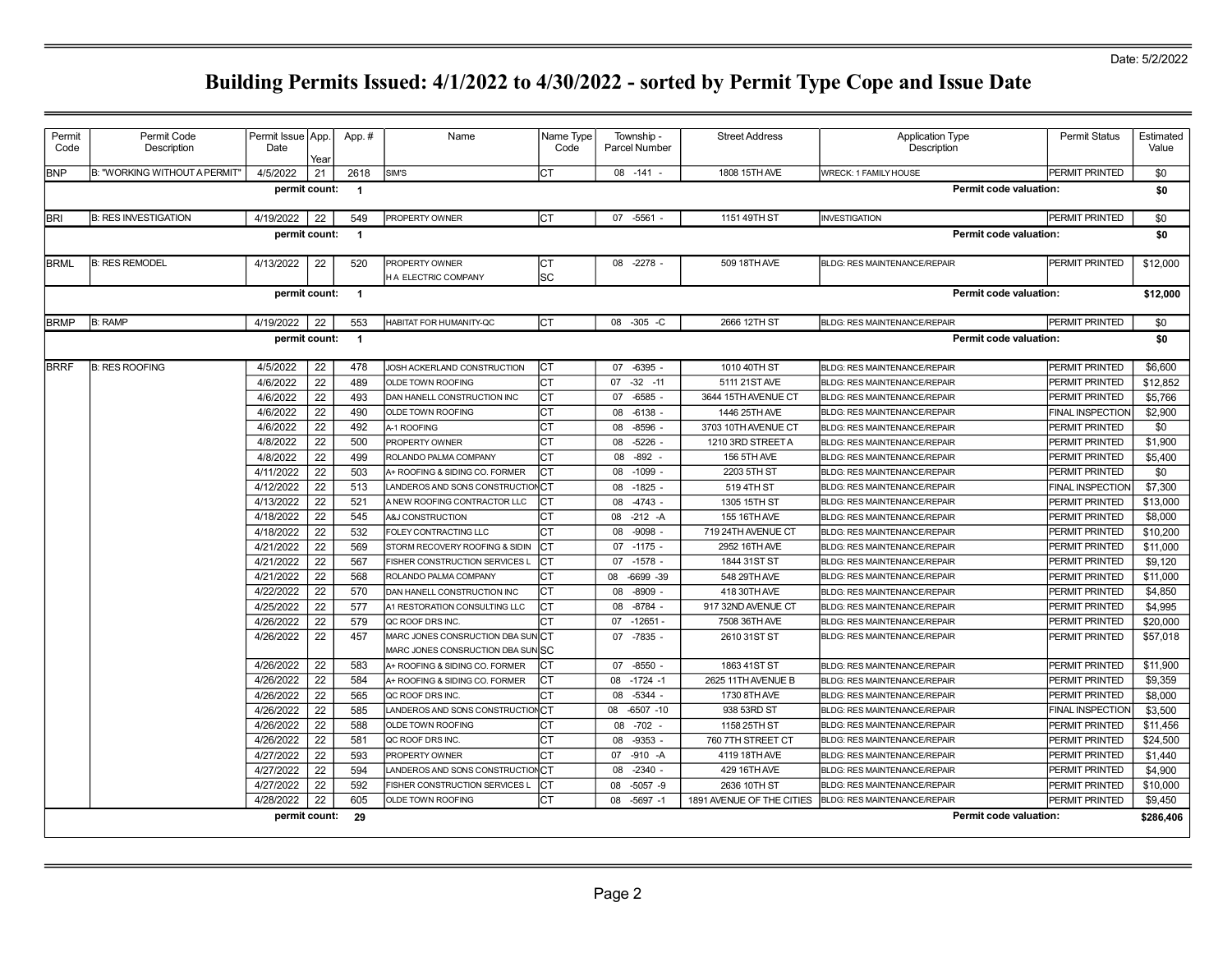| Permit<br>Code                                            | Permit Code<br>Description    | Permit Issue   App.<br>Date | Year | App.#          | Name                                                                  | Name Type<br>Code | Township -<br><b>Parcel Number</b> | <b>Street Address</b>     | <b>Application Type</b><br>Description | <b>Permit Status</b>    | Estimated<br>Value |  |
|-----------------------------------------------------------|-------------------------------|-----------------------------|------|----------------|-----------------------------------------------------------------------|-------------------|------------------------------------|---------------------------|----------------------------------------|-------------------------|--------------------|--|
| <b>BNP</b>                                                | B: "WORKING WITHOUT A PERMIT' | 4/5/2022                    | 21   | 2618           | SIM'S                                                                 | СT                | 08 - 141                           | 1808 15TH AVE             | <b>WRECK: 1 FAMILY HOUSE</b>           | PERMIT PRINTED          | \$0                |  |
|                                                           |                               | permit count:               |      | $\overline{1}$ |                                                                       |                   |                                    |                           | Permit code valuation:                 |                         | \$0                |  |
| <b>BRI</b>                                                | <b>B: RES INVESTIGATION</b>   | 4/19/2022                   | 22   | 549            | PROPERTY OWNER                                                        | Iст               | 07 -5561 -                         | 1151 49TH ST              | INVESTIGATION                          | PERMIT PRINTED          | \$0                |  |
|                                                           |                               | permit count:               |      | $\overline{1}$ |                                                                       |                   |                                    |                           | <b>Permit code valuation:</b>          |                         | \$0                |  |
| <b>BRML</b>                                               | <b>B: RES REMODEL</b>         | 4/13/2022                   | 22   | 520            | PROPERTY OWNER                                                        | lст               | $-2278$ -<br>08                    | 509 18TH AVE              | <b>BLDG: RES MAINTENANCE/REPAIR</b>    | PERMIT PRINTED          | \$12,000           |  |
|                                                           |                               |                             |      |                | H A ELECTRIC COMPANY                                                  | SC                |                                    |                           |                                        |                         | \$12,000           |  |
| permit count:<br>Permit code valuation:<br>$\overline{1}$ |                               |                             |      |                |                                                                       |                   |                                    |                           |                                        |                         |                    |  |
| <b>BRMP</b>                                               | <b>B: RAMP</b>                | 4/19/2022                   | 22   | 553            | HABITAT FOR HUMANITY-QC                                               | Iст               | 08 -305 -C                         | 2666 12TH ST              | <b>BLDG: RES MAINTENANCE/REPAIR</b>    | PERMIT PRINTED          | \$0                |  |
|                                                           |                               | permit count:               |      | $\overline{1}$ |                                                                       |                   |                                    |                           | Permit code valuation:                 |                         | \$0                |  |
| <b>BRRF</b>                                               | <b>B: RES ROOFING</b>         | 4/5/2022                    | 22   | 478            | JOSH ACKERLAND CONSTRUCTION                                           | lст               | 07<br>$-6395 -$                    | 1010 40TH ST              | <b>BLDG: RES MAINTENANCE/REPAIR</b>    | PERMIT PRINTED          | \$6,600            |  |
|                                                           |                               | 4/6/2022                    | 22   | 489            | OLDE TOWN ROOFING                                                     | СT                | $-32 - 11$<br>07                   | 5111 21ST AVE             | <b>BLDG: RES MAINTENANCE/REPAIR</b>    | <b>PERMIT PRINTED</b>   | \$12,852           |  |
|                                                           |                               | 4/6/2022                    | 22   | 493            | DAN HANELL CONSTRUCTION INC                                           | СT                | $-6585 -$<br>07                    | 3644 15TH AVENUE CT       | <b>BLDG: RES MAINTENANCE/REPAIR</b>    | PERMIT PRINTED          | \$5,766            |  |
|                                                           |                               | 4/6/2022                    | 22   | 490            | OLDE TOWN ROOFING                                                     | СT                | $-6138 -$<br>08                    | 1446 25TH AVE             | BLDG: RES MAINTENANCE/REPAIR           | <b>FINAL INSPECTION</b> | \$2,900            |  |
|                                                           |                               | 4/6/2022                    | 22   | 492            | A-1 ROOFING                                                           | СT                | $-8596$ -<br>08                    | 3703 10TH AVENUE CT       | <b>BLDG: RES MAINTENANCE/REPAIR</b>    | PERMIT PRINTED          | \$0                |  |
|                                                           |                               | 4/8/2022                    | 22   | 500            | PROPERTY OWNER                                                        | СT                | $-5226 -$<br>08                    | 1210 3RD STREET A         | <b>BLDG: RES MAINTENANCE/REPAIR</b>    | PERMIT PRINTED          | \$1,900            |  |
|                                                           |                               | 4/8/2022                    | 22   | 499            | ROLANDO PALMA COMPANY                                                 | СT                | $-892 -$<br>08                     | <b>156 5TH AVE</b>        | <b>BLDG: RES MAINTENANCE/REPAIR</b>    | PERMIT PRINTED          | \$5,400            |  |
|                                                           |                               | 4/11/2022                   | 22   | 503            | A+ ROOFING & SIDING CO. FORMER                                        | СT                | 08<br>$-1099$                      | 2203 5TH ST               | <b>BLDG: RES MAINTENANCE/REPAIR</b>    | PERMIT PRINTED          | \$0                |  |
|                                                           |                               | 4/12/2022                   | 22   | 513            | LANDEROS AND SONS CONSTRUCTION CT                                     |                   | 08<br>$-1825 -$                    | 519 4TH ST                | <b>BLDG: RES MAINTENANCE/REPAIR</b>    | <b>FINAL INSPECTION</b> | \$7,300            |  |
|                                                           |                               | 4/13/2022                   | 22   | 521            | A NEW ROOFING CONTRACTOR LLC                                          | СT                | $-4743 -$<br>08                    | 1305 15TH ST              | <b>BLDG: RES MAINTENANCE/REPAIR</b>    | PERMIT PRINTED          | \$13,000           |  |
|                                                           |                               | 4/18/2022                   | 22   | 545            | A&J CONSTRUCTION                                                      | СT                | 08<br>$-212 - A$                   | 155 16TH AVE              | <b>BLDG: RES MAINTENANCE/REPAIR</b>    | PERMIT PRINTED          | \$8,000            |  |
|                                                           |                               | 4/18/2022                   | 22   | 532            | FOLEY CONTRACTING LLC                                                 | Iст               | $-9098 -$<br>08                    | 719 24TH AVENUE CT        | BLDG: RES MAINTENANCE/REPAIR           | PERMIT PRINTED          | \$10,200           |  |
|                                                           |                               | 4/21/2022                   | 22   | 569            | STORM RECOVERY ROOFING & SIDIN                                        | Iст               | $-1175 -$<br>07                    | 2952 16TH AVE             | <b>BLDG: RES MAINTENANCE/REPAIR</b>    | PERMIT PRINTED          | \$11,000           |  |
|                                                           |                               | 4/21/2022                   | 22   | 567            | FISHER CONSTRUCTION SERVICES L                                        | Iст               | 07 -1578 -                         | 1844 31ST ST              | <b>BLDG: RES MAINTENANCE/REPAIR</b>    | PERMIT PRINTED          | \$9,120            |  |
|                                                           |                               | 4/21/2022                   | 22   | 568            | ROLANDO PALMA COMPANY                                                 | СT                | $-6699 - 39$<br>08                 | 548 29TH AVE              | <b>BLDG: RES MAINTENANCE/REPAIR</b>    | <b>PERMIT PRINTED</b>   | \$11,000           |  |
|                                                           |                               | 4/22/2022                   | 22   | 570            | DAN HANELL CONSTRUCTION INC                                           | СT                | $-8909$<br>08                      | 418 30TH AVE              | <b>BLDG: RES MAINTENANCE/REPAIR</b>    | PERMIT PRINTED          | \$4,850            |  |
|                                                           |                               | 4/25/2022                   | 22   | 577            | A1 RESTORATION CONSULTING LLC                                         | СT                | $-8784 -$<br>08                    | 917 32ND AVENUE CT        | <b>BLDG: RES MAINTENANCE/REPAIR</b>    | PERMIT PRINTED          | \$4,995            |  |
|                                                           |                               | 4/26/2022                   | 22   | 579            | QC ROOF DRS INC.                                                      | СT                | $-12651 -$<br>07                   | 7508 36TH AVE             | <b>BLDG: RES MAINTENANCE/REPAIR</b>    | PERMIT PRINTED          | \$20,000           |  |
|                                                           |                               | 4/26/2022                   | 22   | 457            | MARC JONES CONSRUCTION DBA SUNICT<br>MARC JONES CONSRUCTION DBA SUNSC |                   | $-7835 -$<br>07                    | 2610 31ST ST              | <b>BLDG: RES MAINTENANCE/REPAIR</b>    | PERMIT PRINTED          | \$57,018           |  |
|                                                           |                               | 4/26/2022                   | 22   | 583            | A+ ROOFING & SIDING CO. FORMER                                        | СT                | $-8550 -$<br>07                    | 1863 41ST ST              | BLDG: RES MAINTENANCE/REPAIR           | PERMIT PRINTED          | \$11,900           |  |
|                                                           |                               | 4/26/2022                   | 22   | 584            | A+ ROOFING & SIDING CO. FORMER                                        | СT                | 08 -1724 -1                        | 2625 11TH AVENUE B        | <b>BLDG: RES MAINTENANCE/REPAIR</b>    | PERMIT PRINTED          | \$9,359            |  |
|                                                           |                               | 4/26/2022                   | 22   | 565            | QC ROOF DRS INC.                                                      | СT                | $-5344 -$<br>08                    | 1730 8TH AVE              | <b>BLDG: RES MAINTENANCE/REPAIR</b>    | PERMIT PRINTED          | \$8,000            |  |
|                                                           |                               | 4/26/2022                   | 22   | 585            | LANDEROS AND SONS CONSTRUCTIONCT                                      |                   | $-6507 - 10$<br>08                 | 938 53RD ST               | <b>BLDG: RES MAINTENANCE/REPAIR</b>    | <b>FINAL INSPECTION</b> | \$3,500            |  |
|                                                           |                               | 4/26/2022                   | 22   | 588            | <b>OLDE TOWN ROOFING</b>                                              | СT                | $-702$<br>08                       | 1158 25TH ST              | <b>BLDG: RES MAINTENANCE/REPAIR</b>    | PERMIT PRINTED          | \$11,456           |  |
|                                                           |                               | 4/26/2022                   | 22   | 581            | QC ROOF DRS INC.                                                      | СT                | $-9353 -$<br>08                    | 760 7TH STREET CT         | BLDG: RES MAINTENANCE/REPAIR           | <b>PERMIT PRINTED</b>   | \$24,500           |  |
|                                                           |                               | 4/27/2022                   | 22   | 593            | PROPERTY OWNER                                                        | СT                | $-910 - A$<br>07                   | 4119 18TH AVE             | <b>BLDG: RES MAINTENANCE/REPAIR</b>    | PERMIT PRINTED          | \$1,440            |  |
|                                                           |                               | 4/27/2022                   | 22   | 594            | LANDEROS AND SONS CONSTRUCTIONCT                                      |                   | $-2340 -$<br>08                    | 429 16TH AVE              | <b>BLDG: RES MAINTENANCE/REPAIR</b>    | PERMIT PRINTED          | \$4,900            |  |
|                                                           |                               | 4/27/2022                   | 22   | 592            | FISHER CONSTRUCTION SERVICES L                                        | СT                | $-5057 - 9$<br>08                  | 2636 10TH ST              | <b>BLDG: RES MAINTENANCE/REPAIR</b>    | PERMIT PRINTED          | \$10,000           |  |
|                                                           |                               | 4/28/2022                   | 22   | 605            | OLDE TOWN ROOFING                                                     | СT                | 08<br>$-5697 - 1$                  | 1891 AVENUE OF THE CITIES | <b>BLDG: RES MAINTENANCE/REPAIR</b>    | <b>PERMIT PRINTED</b>   | \$9,450            |  |
|                                                           |                               | permit count:               |      | -29            |                                                                       |                   |                                    |                           | <b>Permit code valuation:</b>          |                         | \$286,406          |  |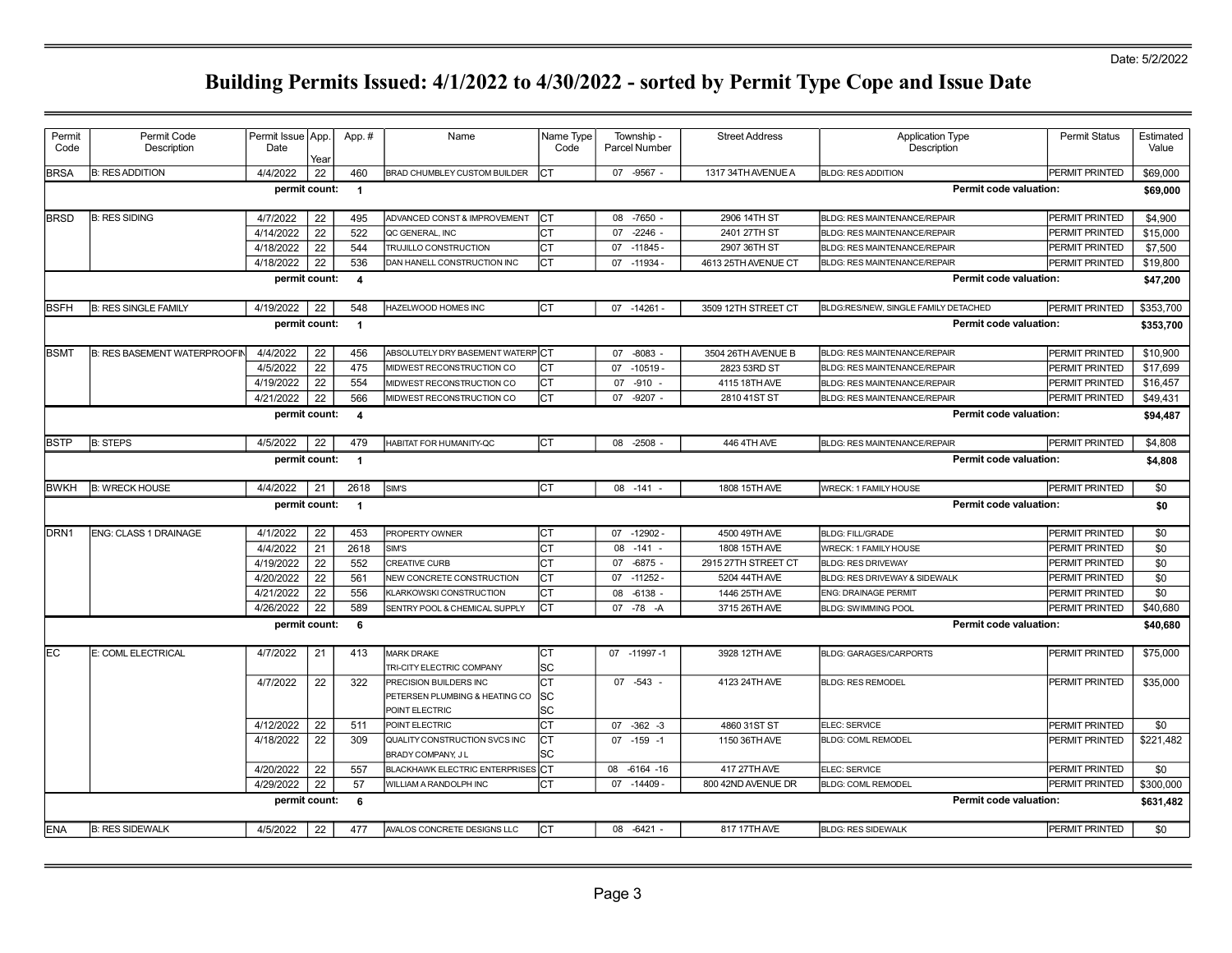| Permit      | Permit Code                         | Permit Issue   App. |      | App.#                   | Name                                             | Name Type  | Township -           | <b>Street Address</b> | <b>Application Type</b>              | <b>Permit Status</b>  | Estimated |
|-------------|-------------------------------------|---------------------|------|-------------------------|--------------------------------------------------|------------|----------------------|-----------------------|--------------------------------------|-----------------------|-----------|
| Code        | Description                         | Date                | Year |                         |                                                  | Code       | <b>Parcel Number</b> |                       | Description                          |                       | Value     |
| <b>BRSA</b> | <b>B: RES ADDITION</b>              | 4/4/2022            | 22   | 460                     | BRAD CHUMBLEY CUSTOM BUILDER                     | Iст        | 07 -9567 -           | 1317 34TH AVENUE A    | <b>BLDG: RES ADDITION</b>            | <b>PERMIT PRINTED</b> | \$69,000  |
|             |                                     | permit count:       |      | $\overline{1}$          |                                                  |            |                      |                       | <b>Permit code valuation:</b>        |                       | \$69,000  |
| <b>BRSD</b> | <b>B: RES SIDING</b>                | 4/7/2022            | 22   | 495                     | ADVANCED CONST & IMPROVEMENT                     | Iст        | 08 -7650 -           | 2906 14TH ST          | BLDG: RES MAINTENANCE/REPAIR         | PERMIT PRINTED        | \$4,900   |
|             |                                     | 4/14/2022           | 22   | 522                     | QC GENERAL, INC                                  | Iст        | $-2246$<br>07        | 2401 27TH ST          | BLDG: RES MAINTENANCE/REPAIR         | PERMIT PRINTED        | \$15,000  |
|             |                                     | 4/18/2022           | 22   | 544                     | TRUJILLO CONSTRUCTION                            | Iст        | $-11845-$<br>07      | 2907 36TH ST          | <b>BLDG: RES MAINTENANCE/REPAIR</b>  | PERMIT PRINTED        | \$7,500   |
|             |                                     | 4/18/2022           | 22   | 536                     | DAN HANELL CONSTRUCTION INC                      | Iст        | $-11934$<br>07       | 4613 25TH AVENUE CT   | <b>BLDG: RES MAINTENANCE/REPAIR</b>  | PERMIT PRINTED        | \$19,800  |
|             |                                     | permit count:       |      | $\overline{\mathbf{4}}$ |                                                  |            |                      |                       | Permit code valuation:               |                       | \$47,200  |
| <b>BSFH</b> | <b>B: RES SINGLE FAMILY</b>         | 4/19/2022           | 22   | 548                     | HAZELWOOD HOMES INC                              | Iст        | 07 -14261            | 3509 12TH STREET CT   | BLDG:RES/NEW, SINGLE FAMILY DETACHED | PERMIT PRINTED        | \$353,700 |
|             |                                     | permit count:       |      | $\overline{1}$          |                                                  |            |                      |                       | <b>Permit code valuation:</b>        |                       | \$353,700 |
|             |                                     |                     |      |                         |                                                  |            |                      |                       |                                      |                       |           |
| IBSMT       | <b>B: RES BASEMENT WATERPROOFIN</b> | 4/4/2022            | 22   | 456                     | ABSOLUTELY DRY BASEMENT WATERPCT                 |            | $-8083 -$<br>07      | 3504 26TH AVENUE B    | <b>BLDG: RES MAINTENANCE/REPAIR</b>  | PERMIT PRINTED        | \$10,900  |
|             |                                     | 4/5/2022            | 22   | 475                     | MIDWEST RECONSTRUCTION CO                        | Iст        | 07<br>$-10519 -$     | 2823 53RD ST          | BLDG: RES MAINTENANCE/REPAIR         | PERMIT PRINTED        | \$17,699  |
|             |                                     | 4/19/2022           | 22   | 554                     | MIDWEST RECONSTRUCTION CO                        | Iст        | $-910 -$<br>07       | 4115 18TH AVE         | <b>BLDG: RES MAINTENANCE/REPAIR</b>  | <b>PERMIT PRINTED</b> | \$16,457  |
|             |                                     | 4/21/2022           | 22   | 566                     | MIDWEST RECONSTRUCTION CO                        | Iст        | $-9207$<br>07        | 2810 41ST ST          | <b>BLDG: RES MAINTENANCE/REPAIR</b>  | PERMIT PRINTED        | \$49,431  |
|             |                                     | permit count:       |      | $\overline{\mathbf{4}}$ |                                                  |            |                      |                       | <b>Permit code valuation:</b>        |                       | \$94,487  |
| IBSTP       | <b>B: STEPS</b>                     | 4/5/2022            | 22   | 479                     | HABITAT FOR HUMANITY-QC                          | Iст        | 08 -2508             | 446 4TH AVE           | BLDG: RES MAINTENANCE/REPAIR         | PERMIT PRINTED        | \$4,808   |
|             |                                     | permit count:       |      | $\overline{1}$          |                                                  |            |                      |                       | Permit code valuation:               |                       | \$4,808   |
| BWKH        | <b>B: WRECK HOUSE</b>               | 4/4/2022            | 21   | 2618                    | SIM'S                                            | Iст        | $08 - 141 -$         | 1808 15TH AVE         | <b>WRECK: 1 FAMILY HOUSE</b>         | PERMIT PRINTED        | \$0       |
|             |                                     | permit count:       |      | $\overline{1}$          |                                                  |            |                      |                       | <b>Permit code valuation:</b>        |                       | \$0       |
| IDRN1       | <b>ENG: CLASS 1 DRAINAGE</b>        | 4/1/2022            | 22   | 453                     | PROPERTY OWNER                                   | Iст        | 07 -12902            | 4500 49TH AVE         | <b>BLDG: FILL/GRADE</b>              | PERMIT PRINTED        | \$0       |
|             |                                     | 4/4/2022            | 21   | 2618                    | SIM'S                                            | Iст        | $-141 -$<br>08       | 1808 15TH AVE         | <b>WRECK: 1 FAMILY HOUSE</b>         | PERMIT PRINTED        | \$0       |
|             |                                     | 4/19/2022           | 22   | 552                     | <b>CREATIVE CURB</b>                             | Iст        | $-6875$<br>07        | 2915 27TH STREET CT   | <b>BLDG: RES DRIVEWAY</b>            | PERMIT PRINTED        | \$0       |
|             |                                     | 4/20/2022           | 22   | 561                     | NEW CONCRETE CONSTRUCTION                        | Iст        | $-11252 -$<br>07     | 5204 44TH AVE         | BLDG: RES DRIVEWAY & SIDEWALK        | PERMIT PRINTED        | \$0       |
|             |                                     | 4/21/2022           | 22   | 556                     | KLARKOWSKI CONSTRUCTION                          | Iст        | $-6138$<br>08        | 1446 25TH AVE         | ENG: DRAINAGE PERMIT                 | PERMIT PRINTED        | \$0       |
|             |                                     | 4/26/2022           | 22   | 589                     | SENTRY POOL & CHEMICAL SUPPLY                    | Iст        | 07 -78 -A            | 3715 26TH AVE         | <b>BLDG: SWIMMING POOL</b>           | PERMIT PRINTED        | \$40,680  |
|             |                                     | permit count:       |      | 6                       |                                                  |            |                      |                       | <b>Permit code valuation:</b>        |                       | \$40,680  |
|             |                                     |                     |      |                         |                                                  |            |                      |                       |                                      |                       |           |
| lEC         | E: COML ELECTRICAL                  | 4/7/2022            | 21   | 413                     | <b>MARK DRAKE</b>                                | Iст        | 07 -11997 -1         | 3928 12TH AVE         | <b>BLDG: GARAGES/CARPORTS</b>        | PERMIT PRINTED        | \$75,000  |
|             |                                     |                     |      |                         | TRI-CITY ELECTRIC COMPANY                        | lsc        |                      |                       |                                      |                       |           |
|             |                                     | 4/7/2022            | 22   | 322                     | PRECISION BUILDERS INC                           | Iст        | $07 -543 -$          | 4123 24TH AVE         | <b>BLDG: RES REMODEL</b>             | PERMIT PRINTED        | \$35,000  |
|             |                                     |                     |      |                         | PETERSEN PLUMBING & HEATING CO<br>POINT ELECTRIC | lsc<br>lsc |                      |                       |                                      |                       |           |
|             |                                     | 4/12/2022           | 22   | 511                     | POINT ELECTRIC                                   | Iст        | $07 - 362 - 3$       | 4860 31ST ST          | ELEC: SERVICE                        | PERMIT PRINTED        | \$0       |
|             |                                     | 4/18/2022           | 22   | 309                     | QUALITY CONSTRUCTION SVCS INC                    | IСТ        | $07 - 159 - 1$       | 1150 36TH AVE         | <b>BLDG: COML REMODEL</b>            | PERMIT PRINTED        | \$221,482 |
|             |                                     |                     |      |                         | BRADY COMPANY, JL                                | lsc        |                      |                       |                                      |                       |           |
|             |                                     | 4/20/2022           | 22   | 557                     | BLACKHAWK ELECTRIC ENTERPRISES CT                |            | 08 -6164 -16         | 417 27TH AVE          | ELEC: SERVICE                        | PERMIT PRINTED        | \$0       |
|             |                                     | 4/29/2022           | 22   | 57                      | WILLIAM A RANDOLPH INC                           | Iст        | 07 -14409            | 800 42ND AVENUE DR    | <b>BLDG: COML REMODEL</b>            | PERMIT PRINTED        | \$300,000 |
|             |                                     | permit count:       |      | 6                       |                                                  |            |                      |                       | <b>Permit code valuation:</b>        |                       | \$631,482 |
| <b>IENA</b> | <b>B: RES SIDEWALK</b>              | 4/5/2022            | 22   | 477                     | AVALOS CONCRETE DESIGNS LLC                      | CT         | 08 -6421             | 817 17TH AVE          | <b>BLDG: RES SIDEWALK</b>            | <b>PERMIT PRINTED</b> | \$0       |
|             |                                     |                     |      |                         |                                                  |            |                      |                       |                                      |                       |           |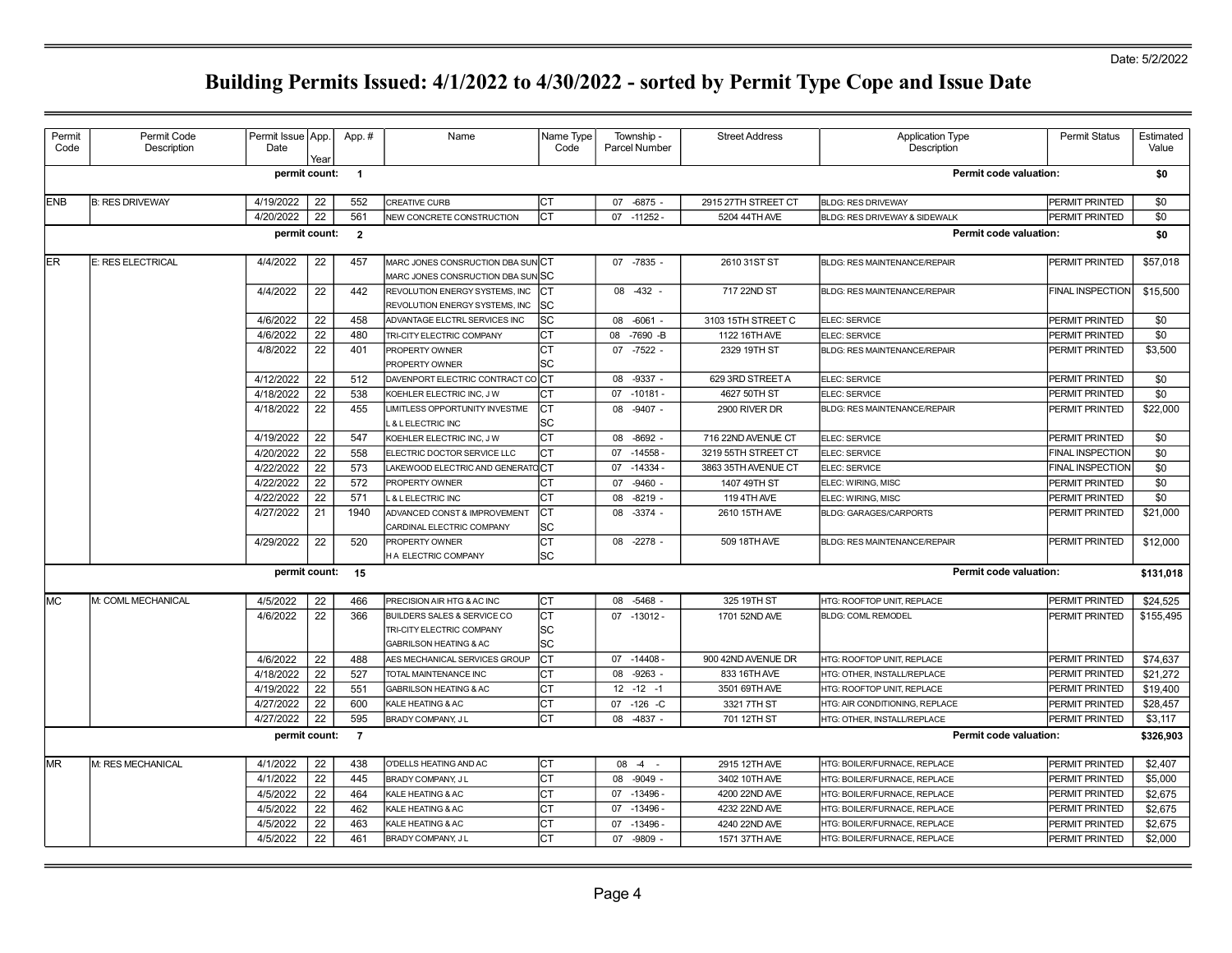| Permit<br>Code | Permit Code<br>Description | Permit Issue   App.<br>Date | Year | App.#                    | Name                                                             | Name Type<br>Code | Township -<br><b>Parcel Number</b> | <b>Street Address</b> | <b>Application Type</b><br>Description | <b>Permit Status</b>    | Estimated<br>Value |
|----------------|----------------------------|-----------------------------|------|--------------------------|------------------------------------------------------------------|-------------------|------------------------------------|-----------------------|----------------------------------------|-------------------------|--------------------|
|                |                            | permit count:               |      | $\overline{\phantom{0}}$ |                                                                  |                   |                                    |                       | <b>Permit code valuation:</b>          |                         | \$0                |
| <b>ENB</b>     | <b>B: RES DRIVEWAY</b>     | 4/19/2022                   | 22   | 552                      | <b>CREATIVE CURB</b>                                             | CT                | 07 -6875 -                         | 2915 27TH STREET CT   | <b>BLDG: RES DRIVEWAY</b>              | <b>PERMIT PRINTED</b>   | \$0                |
|                |                            | 4/20/2022                   | 22   | 561                      | NEW CONCRETE CONSTRUCTION                                        | Iст               | $07 - 11252 -$                     | 5204 44TH AVE         | BLDG: RES DRIVEWAY & SIDEWALK          | PERMIT PRINTED          | \$0                |
|                |                            | permit count:               |      | $\overline{\mathbf{2}}$  |                                                                  |                   |                                    |                       | Permit code valuation:                 |                         | \$0                |
| <b>ER</b>      | E: RES ELECTRICAL          | 4/4/2022                    | 22   | 457                      | MARC JONES CONSRUCTION DBA SUNCT                                 |                   | 07 -7835 -                         | 2610 31ST ST          | <b>BLDG: RES MAINTENANCE/REPAIR</b>    | PERMIT PRINTED          | \$57,018           |
|                |                            |                             |      |                          | MARC JONES CONSRUCTION DBA SUNSC                                 |                   |                                    |                       |                                        |                         |                    |
|                |                            | 4/4/2022                    | 22   | 442                      | REVOLUTION ENERGY SYSTEMS, INC<br>REVOLUTION ENERGY SYSTEMS, INC | IСТ<br>lsc        | 08 -432 -                          | 717 22ND ST           | BLDG: RES MAINTENANCE/REPAIR           | <b>FINAL INSPECTION</b> | \$15,500           |
|                |                            | 4/6/2022                    | 22   | 458                      | ADVANTAGE ELCTRL SERVICES INC                                    | lsc               | 08 -6061 -                         | 3103 15TH STREET C    | ELEC: SERVICE                          | PERMIT PRINTED          | \$0                |
|                |                            | 4/6/2022                    | 22   | 480                      | TRI-CITY ELECTRIC COMPANY                                        | Iст               | -7690 -B<br>08                     | 1122 16TH AVE         | ELEC: SERVICE                          | PERMIT PRINTED          | \$0                |
|                |                            | 4/8/2022                    | 22   | 401                      | PROPERTY OWNER                                                   | Iст               | 07 -7522 -                         | 2329 19TH ST          | BLDG: RES MAINTENANCE/REPAIR           | PERMIT PRINTED          | \$3,500            |
|                |                            |                             |      |                          | PROPERTY OWNER                                                   | lsc               |                                    |                       |                                        |                         |                    |
|                |                            | 4/12/2022                   | 22   | 512                      | DAVENPORT ELECTRIC CONTRACT COCT                                 |                   | 08 -9337 -                         | 629 3RD STREET A      | ELEC: SERVICE                          | PERMIT PRINTED          | \$0                |
|                |                            | 4/18/2022                   | 22   | 538                      | KOEHLER ELECTRIC INC, J W                                        | Iст               | 07 -10181 -                        | 4627 50TH ST          | ELEC: SERVICE                          | PERMIT PRINTED          | \$0                |
|                |                            | 4/18/2022                   | 22   | 455                      | LIMITLESS OPPORTUNITY INVESTME                                   | IСТ               | 08 -9407 -                         | 2900 RIVER DR         | BLDG: RES MAINTENANCE/REPAIR           | PERMIT PRINTED          | \$22,000           |
|                |                            |                             |      |                          | L & L ELECTRIC INC                                               | lsc               |                                    |                       |                                        |                         |                    |
|                |                            | 4/19/2022                   | 22   | 547                      | KOEHLER ELECTRIC INC, J W                                        | Iст               | -8692 -<br>08                      | 716 22ND AVENUE CT    | ELEC: SERVICE                          | PERMIT PRINTED          | \$0                |
|                |                            | 4/20/2022                   | 22   | 558                      | ELECTRIC DOCTOR SERVICE LLC                                      | Iст               | 07 -14558                          | 3219 55TH STREET CT   | ELEC: SERVICE                          | FINAL INSPECTION        | \$0                |
|                |                            | 4/22/2022                   | 22   | 573                      | LAKEWOOD ELECTRIC AND GENERATOCT                                 |                   | 07 -14334 -                        | 3863 35TH AVENUE CT   | ELEC: SERVICE                          | <b>FINAL INSPECTION</b> | \$0                |
|                |                            | 4/22/2022                   | 22   | 572                      | PROPERTY OWNER                                                   | Iст               | $-9460$ .<br>07                    | 1407 49TH ST          | ELEC: WIRING, MISC                     | PERMIT PRINTED          | \$0                |
|                |                            | 4/22/2022                   | 22   | 571                      | <b>L &amp; L ELECTRIC INC</b>                                    | Iст               | 08<br>$-8219$ .                    | 119 4TH AVE           | ELEC: WIRING, MISC                     | PERMIT PRINTED          | \$0                |
|                |                            | 4/27/2022                   | 21   | 1940                     | ADVANCED CONST & IMPROVEMENT                                     | Iст               | $-3374 -$<br>08                    | 2610 15TH AVE         | <b>BLDG: GARAGES/CARPORTS</b>          | PERMIT PRINTED          | \$21,000           |
|                |                            |                             |      |                          | CARDINAL ELECTRIC COMPANY                                        | SC                |                                    |                       |                                        |                         |                    |
|                |                            | 4/29/2022                   | 22   | 520                      | PROPERTY OWNER                                                   | Iст               | 08 -2278 -                         | 509 18TH AVE          | BLDG: RES MAINTENANCE/REPAIR           | PERMIT PRINTED          | \$12,000           |
|                |                            |                             |      |                          | H A ELECTRIC COMPANY                                             | lsc               |                                    |                       |                                        |                         |                    |
|                |                            |                             |      | permit count: 15         |                                                                  |                   |                                    |                       | Permit code valuation:                 |                         | \$131,018          |
| lмс            | M: COML MECHANICAL         | 4/5/2022                    | 22   | 466                      | PRECISION AIR HTG & AC INC                                       | Iст               | $-5468$<br>08                      | 325 19TH ST           | HTG: ROOFTOP UNIT, REPLACE             | PERMIT PRINTED          | \$24,525           |
|                |                            | 4/6/2022                    | 22   | 366                      | BUILDERS SALES & SERVICE CO                                      | Iст               | 07 -13012 -                        | 1701 52ND AVE         | <b>BLDG: COML REMODEL</b>              | PERMIT PRINTED          | \$155,495          |
|                |                            |                             |      |                          | TRI-CITY ELECTRIC COMPANY                                        | SC                |                                    |                       |                                        |                         |                    |
|                |                            |                             |      |                          | GABRILSON HEATING & AC                                           | lsc               |                                    |                       |                                        |                         |                    |
|                |                            | 4/6/2022                    | 22   | 488                      | AES MECHANICAL SERVICES GROUP                                    | Iст               | 07 -14408                          | 900 42ND AVENUE DR    | HTG: ROOFTOP UNIT, REPLACE             | PERMIT PRINTED          | \$74,637           |
|                |                            | 4/18/2022                   | 22   | 527                      | TOTAL MAINTENANCE INC                                            | Iст               | $-9263 -$<br>08                    | 833 16TH AVE          | HTG: OTHER, INSTALL/REPLACE            | PERMIT PRINTED          | \$21,272           |
|                |                            | 4/19/2022                   | 22   | 551                      | <b>GABRILSON HEATING &amp; AC</b>                                | lст               | $12 - 12 - 1$                      | 3501 69TH AVE         | HTG: ROOFTOP UNIT, REPLACE             | PERMIT PRINTED          | \$19,400           |
|                |                            | 4/27/2022                   | 22   | 600                      | KALE HEATING & AC                                                | Iст               | 07 -126 -C                         | 3321 7TH ST           | HTG: AIR CONDITIONING, REPLACE         | PERMIT PRINTED          | \$28,457           |
|                |                            | 4/27/2022                   | 22   | 595                      | BRADY COMPANY, JL                                                | IСТ               | 08<br>-4837 -                      | 701 12TH ST           | HTG: OTHER, INSTALL/REPLACE            | PERMIT PRINTED          | \$3,117            |
|                |                            | permit count:               |      | $\overline{7}$           |                                                                  |                   |                                    |                       | <b>Permit code valuation:</b>          |                         | \$326,903          |
| IMR.           | IM: RES MECHANICAL         | 4/1/2022                    | 22   | 438                      | O'DELLS HEATING AND AC                                           | Iст               | $08 + 4 -$                         | 2915 12TH AVE         | HTG: BOILER/FURNACE, REPLACE           | <b>PERMIT PRINTED</b>   | \$2,407            |
|                |                            | 4/1/2022                    | 22   | 445                      | BRADY COMPANY, JL                                                | Iст               | 08<br>$-9049 -$                    | 3402 10TH AVE         | HTG: BOILER/FURNACE, REPLACE           | PERMIT PRINTED          | \$5,000            |
|                |                            | 4/5/2022                    | 22   | 464                      | KALE HEATING & AC                                                | Iст               | 07 -13496 -                        | 4200 22ND AVE         | HTG: BOILER/FURNACE, REPLACE           | PERMIT PRINTED          | \$2,675            |
|                |                            | 4/5/2022                    | 22   | 462                      | KALE HEATING & AC                                                | CT                | 07 -13496 -                        | 4232 22ND AVE         | HTG: BOILER/FURNACE, REPLACE           | PERMIT PRINTED          | \$2,675            |
|                |                            | 4/5/2022                    | 22   | 463                      | KALE HEATING & AC                                                | Iст               | 07 -13496                          | 4240 22ND AVE         | HTG: BOILER/FURNACE, REPLACE           | PERMIT PRINTED          | \$2,675            |
|                |                            | 4/5/2022                    | 22   | 461                      | BRADY COMPANY, JL                                                | Iст               | 07 -9809 -                         | 1571 37TH AVE         | HTG: BOILER/FURNACE, REPLACE           | PERMIT PRINTED          | \$2,000            |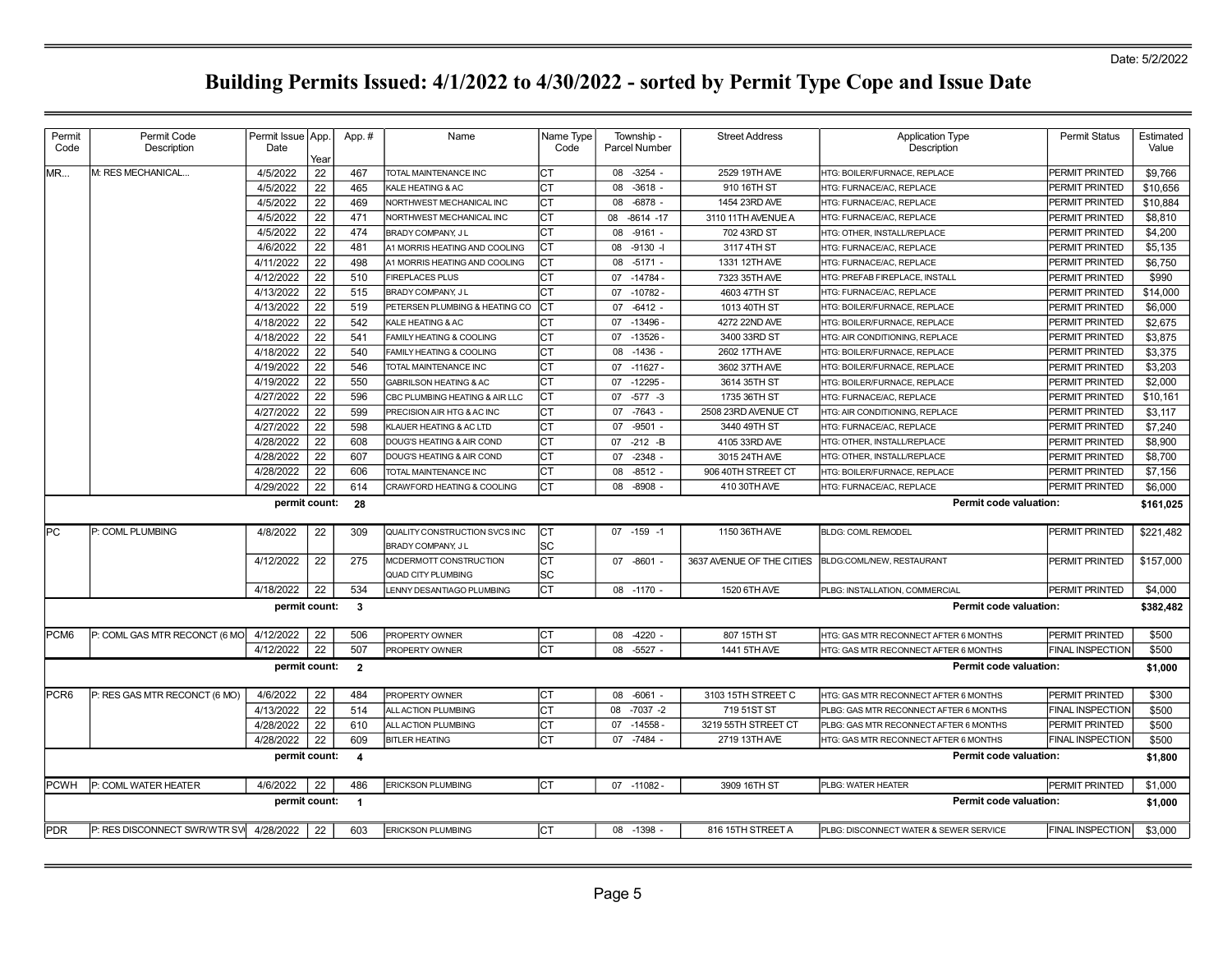| Permit      | Permit Code                             | Permit Issue   App. |      | App.#                   | Name                                               | Name Type  | Township -           | <b>Street Address</b>     | <b>Application Type</b>                | <b>Permit Status</b>    | Estimated |
|-------------|-----------------------------------------|---------------------|------|-------------------------|----------------------------------------------------|------------|----------------------|---------------------------|----------------------------------------|-------------------------|-----------|
| Code        | Description                             | Date                | Year |                         |                                                    | Code       | <b>Parcel Number</b> |                           | Description                            |                         | Value     |
| IMR         | M: RES MECHANICAL                       | 4/5/2022            | 22   | 467                     | TOTAL MAINTENANCE INC                              | Iст        | $-3254 -$<br>08      | 2529 19TH AVE             | HTG: BOILER/FURNACE, REPLACE           | PERMIT PRINTED          | \$9,766   |
|             |                                         | 4/5/2022            | 22   | 465                     | KALE HEATING & AC                                  | Iст        | $-3618$<br>08        | 910 16TH ST               | HTG: FURNACE/AC, REPLACE               | PERMIT PRINTED          | \$10,656  |
|             |                                         | 4/5/2022            | 22   | 469                     | NORTHWEST MECHANICAL INC                           | lст        | 08<br>$-6878$        | 1454 23RD AVE             | HTG: FURNACE/AC, REPLACE               | PERMIT PRINTED          | \$10,884  |
|             |                                         | 4/5/2022            | 22   | 471                     | NORTHWEST MECHANICAL INC                           | lст        | $-8614 - 17$<br>80   | 3110 11TH AVENUE A        | HTG: FURNACE/AC, REPLACE               | PERMIT PRINTED          | \$8,810   |
|             |                                         | 4/5/2022            | 22   | 474                     | BRADY COMPANY, JL                                  | Iст        | $-9161 -$<br>08      | 702 43RD ST               | HTG: OTHER. INSTALL/REPLACE            | PERMIT PRINTED          | \$4,200   |
|             |                                         | 4/6/2022            | 22   | 481                     | A1 MORRIS HEATING AND COOLING                      | Iст        | $-9130 -$<br>08      | 3117 4TH ST               | HTG: FURNACE/AC, REPLACE               | PERMIT PRINTED          | \$5,135   |
|             |                                         | 4/11/2022           | 22   | 498                     | A1 MORRIS HEATING AND COOLING                      | Iст        | $-5171 -$<br>08      | 1331 12TH AVE             | HTG: FURNACE/AC, REPLACE               | PERMIT PRINTED          | \$6,750   |
|             |                                         | 4/12/2022           | 22   | 510                     | <b>FIREPLACES PLUS</b>                             | lст        | $-14784$<br>07       | 7323 35TH AVE             | HTG: PREFAB FIREPLACE, INSTALL         | PERMIT PRINTED          | \$990     |
|             |                                         | 4/13/2022           | 22   | 515                     | <b>BRADY COMPANY, JL</b>                           | lст        | $-10782$<br>07       | 4603 47TH ST              | HTG: FURNACE/AC. REPLACE               | <b>PERMIT PRINTED</b>   | \$14,000  |
|             |                                         | 4/13/2022           | 22   | 519                     | PETERSEN PLUMBING & HEATING CO                     | IСТ        | $-6412 -$<br>07      | 1013 40TH ST              | HTG: BOILER/FURNACE. REPLACE           | PERMIT PRINTED          | \$6,000   |
|             |                                         | 4/18/2022           | 22   | 542                     | KALE HEATING & AC                                  | Iст        | $-13496$<br>07       | 4272 22ND AVE             | HTG: BOILER/FURNACE, REPLACE           | PERMIT PRINTED          | \$2,675   |
|             |                                         | 4/18/2022           | 22   | 541                     | FAMILY HEATING & COOLING                           | lст        | 07 -13526            | 3400 33RD ST              | HTG: AIR CONDITIONING, REPLACE         | PERMIT PRINTED          | \$3,875   |
|             |                                         | 4/18/2022           | 22   | 540                     | FAMILY HEATING & COOLING                           | Iст        | $-1436$<br>08        | 2602 17TH AVE             | HTG: BOILER/FURNACE, REPLACE           | PERMIT PRINTED          | \$3,375   |
|             |                                         | 4/19/2022           | 22   | 546                     | TOTAL MAINTENANCE INC                              | lст        | 07<br>$-11627$       | 3602 37TH AVE             | HTG: BOILER/FURNACE, REPLACE           | <b>PERMIT PRINTED</b>   | \$3,203   |
|             |                                         | 4/19/2022           | 22   | 550                     | GABRILSON HEATING & AC                             | CT         | $-12295-$<br>07      | 3614 35TH ST              | HTG: BOILER/FURNACE, REPLACE           | PERMIT PRINTED          | \$2,000   |
|             |                                         | 4/27/2022           | 22   | 596                     | CBC PLUMBING HEATING & AIR LLC                     | Iст        | $-577 - 3$<br>07     | 1735 36TH ST              | HTG: FURNACE/AC, REPLACE               | PERMIT PRINTED          | \$10,161  |
|             |                                         | 4/27/2022           | 22   | 599                     | PRECISION AIR HTG & AC INC                         | lст        | $-7643 -$<br>07      | 2508 23RD AVENUE CT       | HTG: AIR CONDITIONING, REPLACE         | PERMIT PRINTED          | \$3,117   |
|             |                                         | 4/27/2022           | 22   | 598                     | KLAUER HEATING & AC LTD                            | lст        | $-9501 -$<br>07      | 3440 49TH ST              | HTG: FURNACE/AC, REPLACE               | <b>PERMIT PRINTED</b>   | \$7.240   |
|             |                                         | 4/28/2022           | 22   | 608                     | DOUG'S HEATING & AIR COND                          | Iст        | $-212 - B$<br>07     | 4105 33RD AVE             | HTG: OTHER, INSTALL/REPLACE            | PERMIT PRINTED          | \$8,900   |
|             |                                         | 4/28/2022           | 22   | 607                     | DOUG'S HEATING & AIR COND                          | lст        | 07<br>$-2348$        | 3015 24TH AVE             | HTG: OTHER, INSTALL/REPLACE            | PERMIT PRINTED          | \$8,700   |
|             |                                         | 4/28/2022           | 22   | 606                     | TOTAL MAINTENANCE INC                              | CT         | $-8512$<br>08        | 906 40TH STREET CT        | HTG: BOILER/FURNACE, REPLACE           | PERMIT PRINTED          | \$7,156   |
|             |                                         | 4/29/2022           | 22   | 614                     | CRAWFORD HEATING & COOLING                         | Iст        | 08<br>$-8908$        | 410 30TH AVE              | HTG: FURNACE/AC, REPLACE               | <b>PERMIT PRINTED</b>   | \$6,000   |
|             |                                         | permit count:       |      | - 28                    |                                                    |            |                      |                           | Permit code valuation:                 |                         | \$161,025 |
|             |                                         |                     |      |                         |                                                    |            |                      |                           |                                        |                         |           |
| lPC         | P: COML PLUMBING                        | 4/8/2022            | 22   | 309                     | QUALITY CONSTRUCTION SVCS INC<br>BRADY COMPANY, JL | lст<br>lsc | 07 -159 -1           | 1150 36TH AVE             | <b>BLDG: COML REMODEL</b>              | PERMIT PRINTED          | \$221,482 |
|             |                                         | 4/12/2022           | 22   | 275                     | MCDERMOTT CONSTRUCTION                             | Iст        | 07 -8601 -           | 3637 AVENUE OF THE CITIES | BLDG:COML/NEW, RESTAURANT              | PERMIT PRINTED          | \$157,000 |
|             |                                         |                     |      |                         | <b>QUAD CITY PLUMBING</b>                          | lSC        |                      |                           |                                        |                         |           |
|             |                                         | 4/18/2022           | 22   | 534                     | LENNY DESANTIAGO PLUMBING                          | Iст        | 08 -1170 -           | 1520 6TH AVE              | PLBG: INSTALLATION, COMMERCIAL         | PERMIT PRINTED          | \$4,000   |
|             |                                         | permit count:       |      | $\mathbf{3}$            |                                                    |            |                      |                           | Permit code valuation:                 |                         | \$382,482 |
| PCM6        | P: COML GAS MTR RECONCT (6 MO           | 4/12/2022           | 22   | 506                     | PROPERTY OWNER                                     | Iст        | $-4220$ .<br>08      | 807 15TH ST               | HTG: GAS MTR RECONNECT AFTER 6 MONTHS  | PERMIT PRINTED          | \$500     |
|             |                                         | 4/12/2022           | 22   | 507                     | PROPERTY OWNER                                     | Iст        | $-5527 -$<br>08      | 1441 5TH AVE              | HTG: GAS MTR RECONNECT AFTER 6 MONTHS  | FINAL INSPECTION        | \$500     |
|             |                                         | permit count:       |      | $\overline{\mathbf{2}}$ |                                                    |            |                      |                           | Permit code valuation:                 |                         | \$1,000   |
|             |                                         |                     |      |                         |                                                    |            |                      |                           |                                        |                         |           |
| PCR6        | P: RES GAS MTR RECONCT (6 MO)           | 4/6/2022            | 22   | 484                     | PROPERTY OWNER                                     | IСТ        | 08<br>$-6061 -$      | 3103 15TH STREET C        | HTG: GAS MTR RECONNECT AFTER 6 MONTHS  | PERMIT PRINTED          | \$300     |
|             |                                         | 4/13/2022           | 22   | 514                     | ALL ACTION PLUMBING                                | lст        | $-7037 -2$<br>08     | 719 51ST ST               | PLBG: GAS MTR RECONNECT AFTER 6 MONTHS | <b>FINAL INSPECTION</b> | \$500     |
|             |                                         | 4/28/2022           | 22   | 610                     | ALL ACTION PLUMBING                                | Iст        | $-14558$<br>07       | 3219 55TH STREET CT       | PLBG: GAS MTR RECONNECT AFTER 6 MONTHS | PERMIT PRINTED          | \$500     |
|             |                                         | 4/28/2022           | 22   | 609                     | <b>BITLER HEATING</b>                              | Iст        | $07 - 7484$          | 2719 13TH AVE             | HTG: GAS MTR RECONNECT AFTER 6 MONTHS  | <b>FINAL INSPECTION</b> | \$500     |
|             |                                         | permit count:       |      | $\overline{4}$          |                                                    |            |                      |                           | Permit code valuation:                 |                         | \$1,800   |
| <b>PCWH</b> | P: COML WATER HEATER                    | 4/6/2022            | 22   | 486                     | <b>ERICKSON PLUMBING</b>                           | Iст        | 07 -11082 -          | 3909 16TH ST              | PLBG: WATER HEATER                     | PERMIT PRINTED          | \$1,000   |
|             |                                         | permit count:       |      | $\overline{1}$          |                                                    |            |                      |                           | Permit code valuation:                 |                         | \$1,000   |
| <b>PDR</b>  | P: RES DISCONNECT SWR/WTR SVI 4/28/2022 |                     | 22   | 603                     | <b>ERICKSON PLUMBING</b>                           | CT         | 08 -1398 -           | 816 15TH STREET A         | PLBG: DISCONNECT WATER & SEWER SERVICE | <b>FINAL INSPECTION</b> | \$3,000   |
|             |                                         |                     |      |                         |                                                    |            |                      |                           |                                        |                         |           |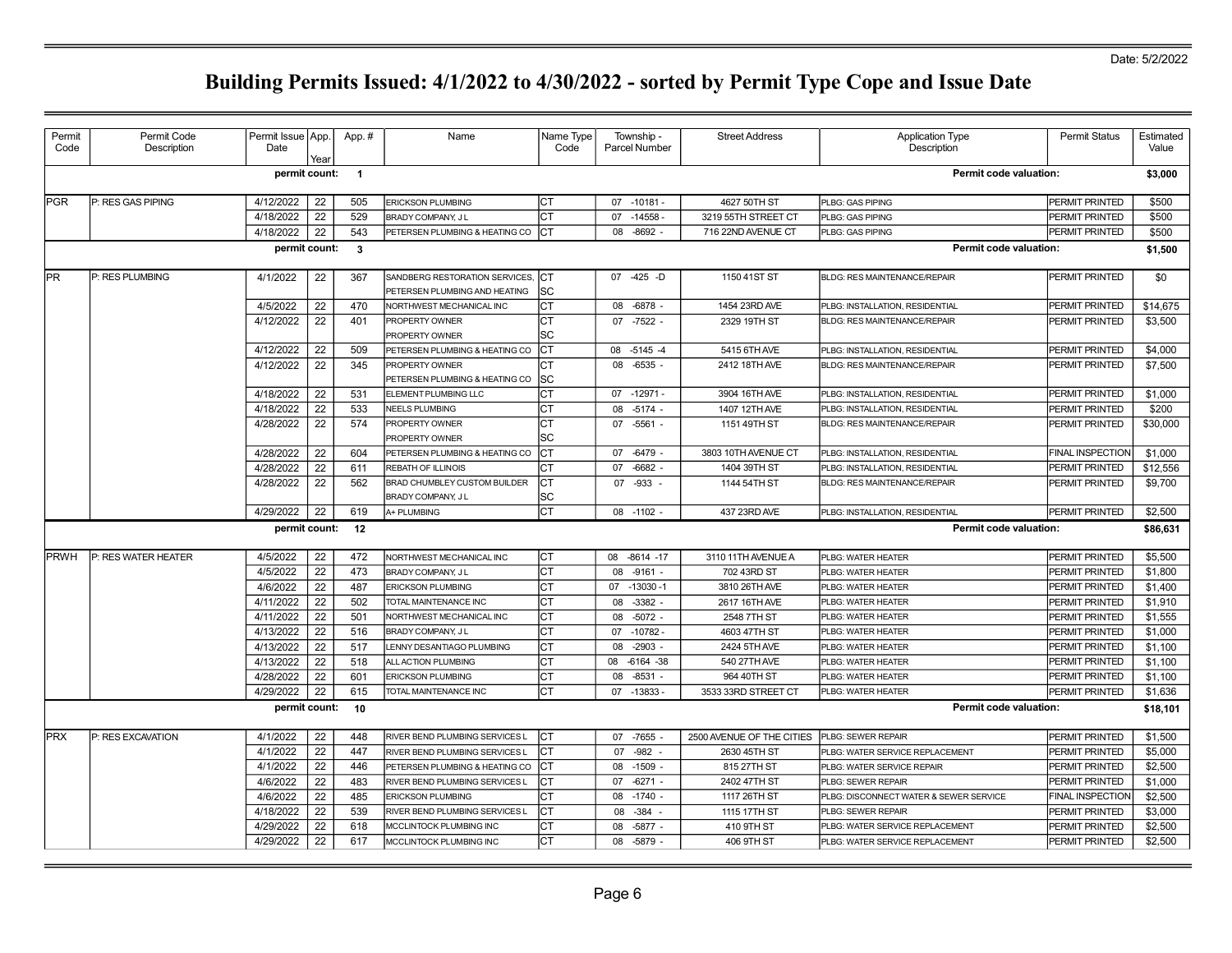| Permit<br>Code | Permit Code<br>Description | Permit Issue App.<br>Date | Year | App.#                   | Name                           | Name Type<br>Code | Township -<br>Parcel Number | <b>Street Address</b>     | <b>Application Type</b><br>Description | <b>Permit Status</b>    | Estimated<br>Value |
|----------------|----------------------------|---------------------------|------|-------------------------|--------------------------------|-------------------|-----------------------------|---------------------------|----------------------------------------|-------------------------|--------------------|
|                |                            | permit count:             |      | $\overline{\mathbf{1}}$ |                                |                   |                             |                           | Permit code valuation:                 |                         | \$3,000            |
| PGR            | P: RES GAS PIPING          | 4/12/2022                 | 22   | 505                     | <b>ERICKSON PLUMBING</b>       | IСТ               | 07 -10181 -                 | 4627 50TH ST              | PLBG: GAS PIPING                       | PERMIT PRINTED          | \$500              |
|                |                            | 4/18/2022                 | 22   | 529                     | BRADY COMPANY, JL              | Iст               | $07 - 14558$                | 3219 55TH STREET CT       | PLBG: GAS PIPING                       | PERMIT PRINTED          | \$500              |
|                |                            | 4/18/2022                 | 22   | 543                     | PETERSEN PLUMBING & HEATING CO | ICT               | $-8692 -$<br>08             | 716 22ND AVENUE CT        | PLBG: GAS PIPING                       | PERMIT PRINTED          | \$500              |
|                |                            | permit count:             |      | $\mathbf{3}$            |                                |                   |                             |                           | <b>Permit code valuation:</b>          |                         | \$1,500            |
| <b>IPR</b>     | P: RES PLUMBING            | 4/1/2022                  | 22   | 367                     | SANDBERG RESTORATION SERVICES, | <b>ICT</b>        | 07 -425 -D                  | 1150 41ST ST              | BLDG: RES MAINTENANCE/REPAIR           | PERMIT PRINTED          | \$0                |
|                |                            |                           |      |                         | PETERSEN PLUMBING AND HEATING  | lsc               |                             |                           |                                        |                         |                    |
|                |                            | 4/5/2022                  | 22   | 470                     | NORTHWEST MECHANICAL INC       | Iст               | 08<br>-6878                 | 1454 23RD AVE             | PLBG: INSTALLATION, RESIDENTIAL        | PERMIT PRINTED          | \$14,675           |
|                |                            | 4/12/2022                 | 22   | 401                     | PROPERTY OWNER                 | Iст               | 07 -7522 -                  | 2329 19TH ST              | BLDG: RES MAINTENANCE/REPAIR           | PERMIT PRINTED          | \$3,500            |
|                |                            |                           |      |                         | <b>PROPERTY OWNER</b>          | lsc               |                             |                           |                                        |                         |                    |
|                |                            | 4/12/2022                 | 22   | 509                     | PETERSEN PLUMBING & HEATING CO | Iст               | 08 -5145 -4                 | 5415 6TH AVE              | PLBG: INSTALLATION, RESIDENTIAL        | PERMIT PRINTED          | \$4,000            |
|                |                            | 4/12/2022                 | 22   | 345                     | PROPERTY OWNER                 | Iст               | $-6535 -$<br>08             | 2412 18TH AVE             | BLDG: RES MAINTENANCE/REPAIR           | PERMIT PRINTED          | \$7,500            |
|                |                            |                           |      |                         | PETERSEN PLUMBING & HEATING CO | lsc               |                             |                           |                                        |                         |                    |
|                |                            | 4/18/2022                 | 22   | 531                     | ELEMENT PLUMBING LLC           | Iст               | 07 -12971 -                 | 3904 16TH AVE             | PLBG: INSTALLATION, RESIDENTIAL        | PERMIT PRINTED          | \$1,000            |
|                |                            | 4/18/2022                 | 22   | 533                     | <b>NEELS PLUMBING</b>          | Iст               | 08<br>$-5174 -$             | 1407 12TH AVE             | PLBG: INSTALLATION, RESIDENTIAL        | PERMIT PRINTED          | \$200              |
|                |                            | 4/28/2022                 | 22   | 574                     | PROPERTY OWNER                 | Iст               | $-5561 -$<br>07             | 1151 49TH ST              | <b>BLDG: RES MAINTENANCE/REPAIR</b>    | PERMIT PRINTED          | \$30,000           |
|                |                            |                           |      |                         | PROPERTY OWNER                 | lsc               |                             |                           |                                        |                         |                    |
|                |                            | 4/28/2022                 | 22   | 604                     | PETERSEN PLUMBING & HEATING CO | Iст               | 07 -6479 -                  | 3803 10TH AVENUE CT       | PLBG: INSTALLATION, RESIDENTIAL        | <b>FINAL INSPECTION</b> | \$1,000            |
|                |                            | 4/28/2022                 | 22   | 611                     | <b>REBATH OF ILLINOIS</b>      | Iст               | $-6682$<br>07               | 1404 39TH ST              | PLBG: INSTALLATION, RESIDENTIAL        | PERMIT PRINTED          | \$12,556           |
|                |                            | 4/28/2022                 | 22   | 562                     | BRAD CHUMBLEY CUSTOM BUILDER   | Iст               | -933<br>07                  | 1144 54TH ST              | BLDG: RES MAINTENANCE/REPAIR           | PERMIT PRINTED          | \$9,700            |
|                |                            |                           |      |                         | BRADY COMPANY, JL              | SC                |                             |                           |                                        |                         |                    |
|                |                            | 4/29/2022                 | 22   | 619                     | A+ PLUMBING                    | lст               | 08 -1102 -                  | 437 23RD AVE              | PLBG: INSTALLATION, RESIDENTIAL        | PERMIT PRINTED          | \$2,500            |
|                |                            | permit count:             |      | 12                      |                                |                   |                             |                           | <b>Permit code valuation:</b>          |                         | \$86,631           |
| PRWH           | P: RES WATER HEATER        | 4/5/2022                  | 22   | 472                     | NORTHWEST MECHANICAL INC       | Iст               | 08 -8614 -17                | 3110 11TH AVENUE A        | PLBG: WATER HEATER                     | <b>PERMIT PRINTED</b>   | \$5.500            |
|                |                            | 4/5/2022                  | 22   | 473                     | BRADY COMPANY, JL              | Iст               | 08<br>$-9161 -$             | 702 43RD ST               | PLBG: WATER HEATER                     | PERMIT PRINTED          | \$1,800            |
|                |                            | 4/6/2022                  | 22   | 487                     | <b>ERICKSON PLUMBING</b>       | CT                | 07 -13030 -1                | 3810 26TH AVE             | PLBG: WATER HEATER                     | PERMIT PRINTED          | \$1,400            |
|                |                            | 4/11/2022                 | 22   | 502                     | TOTAL MAINTENANCE INC          | Iст               | $-3382 -$<br>08             | 2617 16TH AVE             | PLBG: WATER HEATER                     | PERMIT PRINTED          | \$1,910            |
|                |                            | 4/11/2022                 | 22   | 501                     | NORTHWEST MECHANICAL INC       | Iст               | 08<br>$-5072 -$             | 2548 7TH ST               | PLBG: WATER HEATER                     | PERMIT PRINTED          | \$1,555            |
|                |                            | 4/13/2022                 | 22   | 516                     | BRADY COMPANY, JL              | lст               | $-10782 -$<br>07            | 4603 47TH ST              | PLBG: WATER HEATER                     | PERMIT PRINTED          | \$1,000            |
|                |                            | 4/13/2022                 | 22   | 517                     | LENNY DESANTIAGO PLUMBING      | Iст               | $-2903 -$<br>08             | 2424 5TH AVE              | PLBG: WATER HEATER                     | PERMIT PRINTED          | \$1,100            |
|                |                            | 4/13/2022                 | 22   | 518                     | ALL ACTION PLUMBING            | Iст               | -6164 -38<br>08             | 540 27TH AVE              | PLBG: WATER HEATER                     | PERMIT PRINTED          | \$1,100            |
|                |                            | 4/28/2022                 | 22   | 601                     | <b>ERICKSON PLUMBING</b>       | Iст               | $-8531 -$<br>08             | 964 40TH ST               | PLBG: WATER HEATER                     | <b>PERMIT PRINTED</b>   | \$1,100            |
|                |                            | 4/29/2022                 | 22   | 615                     | TOTAL MAINTENANCE INC          | Iст               | 07 -13833                   | 3533 33RD STREET CT       | PLBG: WATER HEATER                     | PERMIT PRINTED          | \$1,636            |
|                |                            | permit count:             |      | 10                      |                                |                   |                             |                           | Permit code valuation:                 |                         | \$18,101           |
|                |                            |                           |      |                         |                                |                   |                             |                           |                                        |                         |                    |
| <b>IPRX</b>    | P: RES EXCAVATION          | 4/1/2022                  | 22   | 448                     | RIVER BEND PLUMBING SERVICES L | Iст               | $-7655$<br>07               | 2500 AVENUE OF THE CITIES | PLBG: SEWER REPAIR                     | PERMIT PRINTED          | \$1,500            |
|                |                            | 4/1/2022                  | 22   | 447                     | RIVER BEND PLUMBING SERVICES L | Iст               | $-982 -$<br>07              | 2630 45TH ST              | PLBG: WATER SERVICE REPLACEMENT        | PERMIT PRINTED          | \$5,000            |
|                |                            | 4/1/2022                  | 22   | 446                     | PETERSEN PLUMBING & HEATING CO |                   | $-1509 -$<br>08             | 815 27TH ST               | PLBG: WATER SERVICE REPAIR             | PERMIT PRINTED          | \$2,500            |
|                |                            | 4/6/2022                  | 22   | 483                     | RIVER BEND PLUMBING SERVICES L |                   | $-6271 -$<br>07             | 2402 47TH ST              | PLBG: SEWER REPAIR                     | <b>PERMIT PRINTED</b>   | \$1,000            |
|                |                            | 4/6/2022                  | 22   | 485                     | <b>ERICKSON PLUMBING</b>       |                   | $-1740 -$<br>08             | 1117 26TH ST              | PLBG: DISCONNECT WATER & SEWER SERVICE | FINAL INSPECTION        | \$2,500            |
|                |                            | 4/18/2022                 | 22   | 539                     | RIVER BEND PLUMBING SERVICES L | Iст               | $-384$<br>08                | 1115 17TH ST              | PLBG: SEWER REPAIR                     | PERMIT PRINTED          | \$3,000            |
|                |                            | 4/29/2022                 | 22   | 618                     | MCCLINTOCK PLUMBING INC        | CT                | $-5877 -$<br>08             | 410 9TH ST                | PLBG: WATER SERVICE REPLACEMENT        | PERMIT PRINTED          | \$2,500            |
|                |                            | 4/29/2022                 | 22   | 617                     | MCCLINTOCK PLUMBING INC        | lст               | 08<br>$-5879$ -             | 406 9TH ST                | PLBG: WATER SERVICE REPLACEMENT        | PERMIT PRINTED          | \$2,500            |